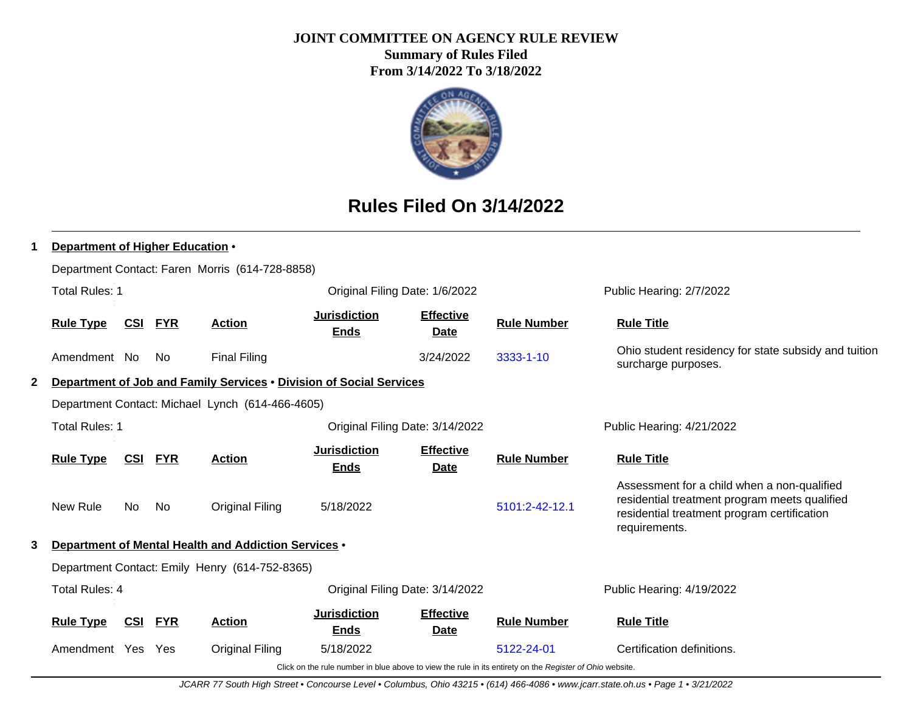## **JOINT COMMITTEE ON AGENCY RULE REVIEW Summary of Rules Filed**

**From 3/14/2022 To 3/18/2022**



# **Rules Filed On 3/14/2022**

| 1 | Department of Higher Education .                                                      |            |            |                                                                     |                                    |                                 |                                                                                                          |                                                                                                                                                              |  |  |
|---|---------------------------------------------------------------------------------------|------------|------------|---------------------------------------------------------------------|------------------------------------|---------------------------------|----------------------------------------------------------------------------------------------------------|--------------------------------------------------------------------------------------------------------------------------------------------------------------|--|--|
|   |                                                                                       |            |            | Department Contact: Faren Morris (614-728-8858)                     |                                    |                                 |                                                                                                          |                                                                                                                                                              |  |  |
|   | <b>Total Rules: 1</b>                                                                 |            |            |                                                                     | Original Filing Date: 1/6/2022     |                                 |                                                                                                          | Public Hearing: 2/7/2022                                                                                                                                     |  |  |
|   | <b>Rule Type</b>                                                                      | <u>CSI</u> | <b>FYR</b> | <b>Action</b>                                                       | <b>Jurisdiction</b><br><b>Ends</b> | <b>Effective</b><br><b>Date</b> | <b>Rule Number</b>                                                                                       | <b>Rule Title</b>                                                                                                                                            |  |  |
|   | Amendment No                                                                          |            | No.        | <b>Final Filing</b>                                                 |                                    | 3/24/2022                       | 3333-1-10                                                                                                | Ohio student residency for state subsidy and tuition<br>surcharge purposes.                                                                                  |  |  |
| 2 |                                                                                       |            |            | Department of Job and Family Services . Division of Social Services |                                    |                                 |                                                                                                          |                                                                                                                                                              |  |  |
|   |                                                                                       |            |            | Department Contact: Michael Lynch (614-466-4605)                    |                                    |                                 |                                                                                                          |                                                                                                                                                              |  |  |
|   | <b>Total Rules: 1</b><br>Original Filing Date: 3/14/2022<br>Public Hearing: 4/21/2022 |            |            |                                                                     |                                    |                                 |                                                                                                          |                                                                                                                                                              |  |  |
|   | <b>Rule Type</b>                                                                      | <u>CSI</u> | <b>FYR</b> | <b>Action</b>                                                       | <b>Jurisdiction</b><br><b>Ends</b> | <b>Effective</b><br><b>Date</b> | <b>Rule Number</b>                                                                                       | <b>Rule Title</b>                                                                                                                                            |  |  |
|   | New Rule                                                                              | No.        | No         | <b>Original Filing</b>                                              | 5/18/2022                          |                                 | 5101:2-42-12.1                                                                                           | Assessment for a child when a non-qualified<br>residential treatment program meets qualified<br>residential treatment program certification<br>requirements. |  |  |
| 3 |                                                                                       |            |            | Department of Mental Health and Addiction Services •                |                                    |                                 |                                                                                                          |                                                                                                                                                              |  |  |
|   |                                                                                       |            |            | Department Contact: Emily Henry (614-752-8365)                      |                                    |                                 |                                                                                                          |                                                                                                                                                              |  |  |
|   | <b>Total Rules: 4</b>                                                                 |            |            |                                                                     | Original Filing Date: 3/14/2022    |                                 |                                                                                                          | Public Hearing: 4/19/2022                                                                                                                                    |  |  |
|   | <b>Rule Type</b>                                                                      | CSI        | <b>FYR</b> | <b>Action</b>                                                       | <b>Jurisdiction</b><br><b>Ends</b> | <b>Effective</b><br><b>Date</b> | <b>Rule Number</b>                                                                                       | <b>Rule Title</b>                                                                                                                                            |  |  |
|   | Amendment Yes                                                                         |            | <b>Yes</b> | <b>Original Filing</b>                                              | 5/18/2022                          |                                 | 5122-24-01                                                                                               | Certification definitions.                                                                                                                                   |  |  |
|   |                                                                                       |            |            |                                                                     |                                    |                                 | Click on the rule number in blue above to view the rule in its entirety on the Register of Ohio website. |                                                                                                                                                              |  |  |

JCARR 77 South High Street • Concourse Level • Columbus, Ohio 43215 • (614) 466-4086 • www.jcarr.state.oh.us • Page 1 • 3/21/2022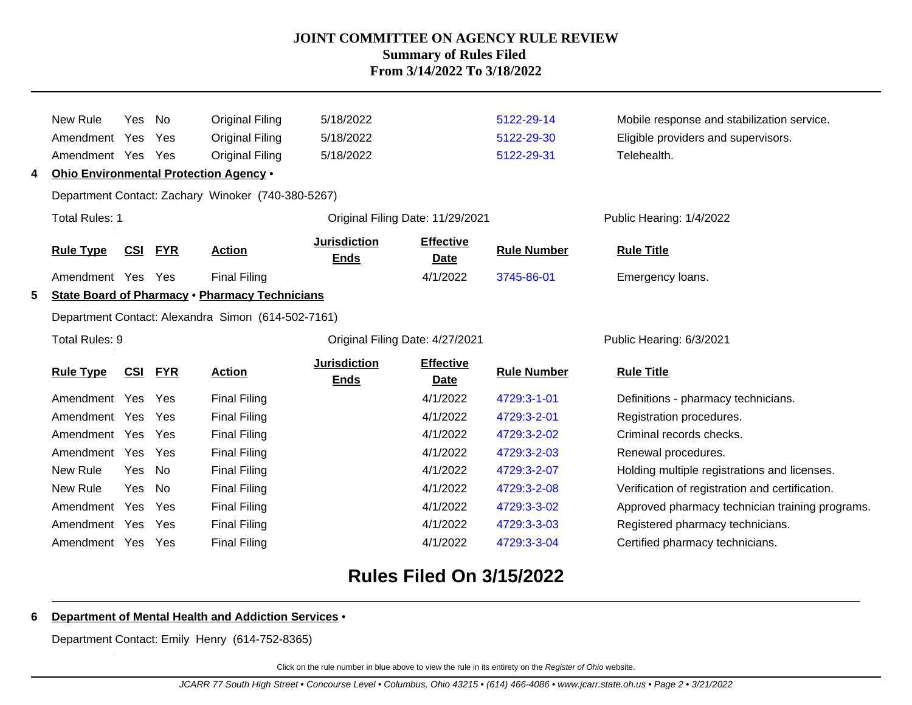|    | New Rule              | Yes        | No         | <b>Original Filing</b>                                | 5/18/2022                          |                                  | 5122-29-14         | Mobile response and stabilization service.      |
|----|-----------------------|------------|------------|-------------------------------------------------------|------------------------------------|----------------------------------|--------------------|-------------------------------------------------|
|    | Amendment Yes         |            | Yes        | <b>Original Filing</b>                                | 5/18/2022                          |                                  | 5122-29-30         | Eligible providers and supervisors.             |
|    | Amendment Yes         |            | Yes        | Original Filing                                       | 5/18/2022                          |                                  | 5122-29-31         | Telehealth.                                     |
| 4  |                       |            |            | Ohio Environmental Protection Agency .                |                                    |                                  |                    |                                                 |
|    |                       |            |            | Department Contact: Zachary Winoker (740-380-5267)    |                                    |                                  |                    |                                                 |
|    | <b>Total Rules: 1</b> |            |            |                                                       |                                    | Original Filing Date: 11/29/2021 |                    | Public Hearing: 1/4/2022                        |
|    | <b>Rule Type</b>      | CSI        | <b>FYR</b> | <b>Action</b>                                         | <b>Jurisdiction</b><br><b>Ends</b> | <b>Effective</b><br>Date         | <b>Rule Number</b> | <b>Rule Title</b>                               |
|    | Amendment Yes         |            | Yes        | <b>Final Filing</b>                                   |                                    | 4/1/2022                         | 3745-86-01         | Emergency loans.                                |
| 5. |                       |            |            | <b>State Board of Pharmacy . Pharmacy Technicians</b> |                                    |                                  |                    |                                                 |
|    |                       |            |            | Department Contact: Alexandra Simon (614-502-7161)    |                                    |                                  |                    |                                                 |
|    | Total Rules: 9        |            |            |                                                       |                                    | Original Filing Date: 4/27/2021  |                    | Public Hearing: 6/3/2021                        |
|    | <b>Rule Type</b>      | CSI        | <b>FYR</b> | <b>Action</b>                                         | <b>Jurisdiction</b><br><b>Ends</b> | <b>Effective</b><br><b>Date</b>  | <b>Rule Number</b> | <b>Rule Title</b>                               |
|    | Amendment Yes         |            | Yes        | <b>Final Filing</b>                                   |                                    | 4/1/2022                         | 4729:3-1-01        | Definitions - pharmacy technicians.             |
|    | Amendment Yes         |            | Yes        | <b>Final Filing</b>                                   |                                    | 4/1/2022                         | 4729:3-2-01        | Registration procedures.                        |
|    | Amendment Yes         |            | Yes        | <b>Final Filing</b>                                   |                                    | 4/1/2022                         | 4729:3-2-02        | Criminal records checks.                        |
|    | Amendment Yes         |            | Yes        | <b>Final Filing</b>                                   |                                    | 4/1/2022                         | 4729:3-2-03        | Renewal procedures.                             |
|    | New Rule              | <b>Yes</b> | <b>No</b>  | <b>Final Filing</b>                                   |                                    | 4/1/2022                         | 4729:3-2-07        | Holding multiple registrations and licenses.    |
|    | New Rule              | Yes        | No         | <b>Final Filing</b>                                   |                                    | 4/1/2022                         | 4729:3-2-08        | Verification of registration and certification. |
|    | Amendment Yes         |            | Yes        | <b>Final Filing</b>                                   |                                    | 4/1/2022                         | 4729:3-3-02        | Approved pharmacy technician training programs. |
|    | Amendment Yes         |            | Yes        | <b>Final Filing</b>                                   |                                    | 4/1/2022                         | 4729:3-3-03        | Registered pharmacy technicians.                |
|    |                       |            |            |                                                       |                                    |                                  |                    |                                                 |

# **Rules Filed On 3/15/2022**

#### **6 Department of Mental Health and Addiction Services** •

Department Contact: Emily Henry (614-752-8365)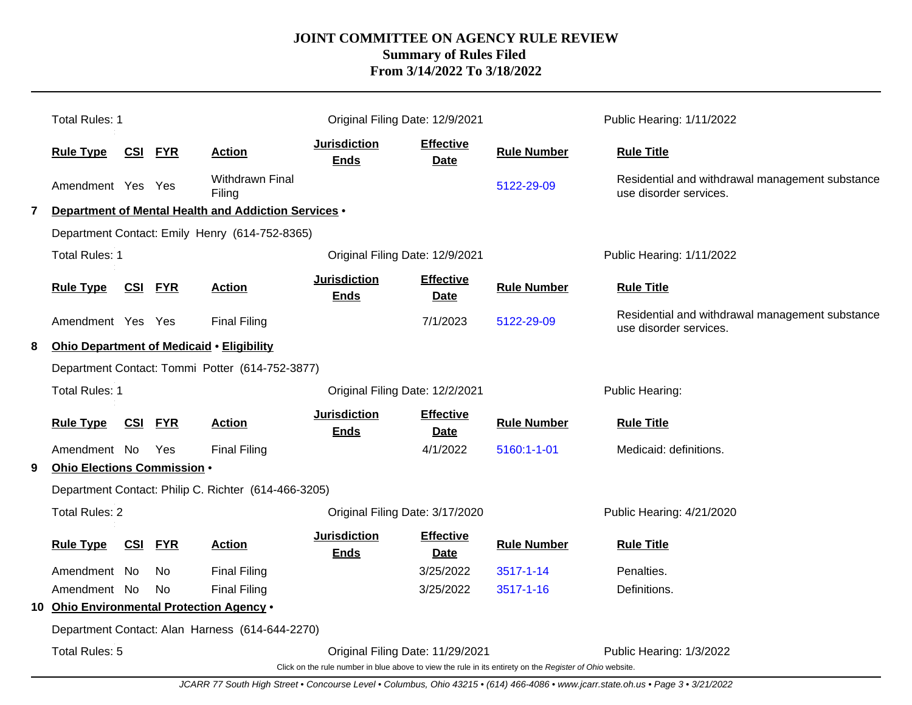|                                                 | Total Rules: 1                                  |                                  |                |                                                      | Original Filing Date: 12/9/2021    |                                 |                                                                                                          | Public Hearing: 1/11/2022                                                 |
|-------------------------------------------------|-------------------------------------------------|----------------------------------|----------------|------------------------------------------------------|------------------------------------|---------------------------------|----------------------------------------------------------------------------------------------------------|---------------------------------------------------------------------------|
|                                                 | <b>Rule Type</b>                                |                                  | <b>CSI FYR</b> | <b>Action</b>                                        | <b>Jurisdiction</b><br><b>Ends</b> | <b>Effective</b><br><b>Date</b> | <b>Rule Number</b>                                                                                       | <b>Rule Title</b>                                                         |
|                                                 | Amendment Yes Yes                               |                                  |                | Withdrawn Final<br>Filing                            |                                    |                                 | 5122-29-09                                                                                               | Residential and withdrawal management substance<br>use disorder services. |
| 7                                               |                                                 |                                  |                | Department of Mental Health and Addiction Services . |                                    |                                 |                                                                                                          |                                                                           |
|                                                 |                                                 |                                  |                | Department Contact: Emily Henry (614-752-8365)       |                                    |                                 |                                                                                                          |                                                                           |
|                                                 | <b>Total Rules: 1</b>                           |                                  |                |                                                      | Original Filing Date: 12/9/2021    |                                 |                                                                                                          | Public Hearing: 1/11/2022                                                 |
|                                                 | <b>Rule Type</b>                                |                                  | CSI FYR        | <b>Action</b>                                        | <b>Jurisdiction</b><br><b>Ends</b> | <b>Effective</b><br><b>Date</b> | <b>Rule Number</b>                                                                                       | <b>Rule Title</b>                                                         |
|                                                 | Amendment Yes Yes                               |                                  |                | <b>Final Filing</b>                                  |                                    | 7/1/2023                        | 5122-29-09                                                                                               | Residential and withdrawal management substance<br>use disorder services. |
| 8                                               |                                                 |                                  |                | <b>Ohio Department of Medicaid • Eligibility</b>     |                                    |                                 |                                                                                                          |                                                                           |
|                                                 | Department Contact: Tommi Potter (614-752-3877) |                                  |                |                                                      |                                    |                                 |                                                                                                          |                                                                           |
|                                                 | <b>Total Rules: 1</b>                           |                                  |                |                                                      | Original Filing Date: 12/2/2021    |                                 |                                                                                                          | Public Hearing:                                                           |
|                                                 | <b>Rule Type</b>                                |                                  | <b>CSI FYR</b> | <b>Action</b>                                        | <b>Jurisdiction</b><br><b>Ends</b> | <b>Effective</b><br><b>Date</b> | <b>Rule Number</b>                                                                                       | <b>Rule Title</b>                                                         |
|                                                 | Amendment No                                    |                                  | Yes            | <b>Final Filing</b>                                  |                                    | 4/1/2022                        | 5160:1-1-01                                                                                              | Medicaid: definitions.                                                    |
| 9                                               | Ohio Elections Commission .                     |                                  |                |                                                      |                                    |                                 |                                                                                                          |                                                                           |
|                                                 |                                                 |                                  |                | Department Contact: Philip C. Richter (614-466-3205) |                                    |                                 |                                                                                                          |                                                                           |
|                                                 | <b>Total Rules: 2</b>                           |                                  |                |                                                      | Original Filing Date: 3/17/2020    |                                 |                                                                                                          | Public Hearing: 4/21/2020                                                 |
|                                                 | <b>Rule Type</b>                                |                                  | <b>CSI FYR</b> | <b>Action</b>                                        | <b>Jurisdiction</b><br><b>Ends</b> | <b>Effective</b><br><b>Date</b> | <b>Rule Number</b>                                                                                       | <b>Rule Title</b>                                                         |
|                                                 | Amendment No                                    |                                  | No.            | <b>Final Filing</b>                                  |                                    | 3/25/2022                       | 3517-1-14                                                                                                | Penalties.                                                                |
|                                                 | Amendment No                                    |                                  | <b>No</b>      | <b>Final Filing</b>                                  |                                    | 3/25/2022                       | 3517-1-16                                                                                                | Definitions.                                                              |
|                                                 | 10 Ohio Environmental Protection Agency .       |                                  |                |                                                      |                                    |                                 |                                                                                                          |                                                                           |
| Department Contact: Alan Harness (614-644-2270) |                                                 |                                  |                |                                                      |                                    |                                 |                                                                                                          |                                                                           |
|                                                 | Total Rules: 5                                  | Original Filing Date: 11/29/2021 |                |                                                      |                                    |                                 |                                                                                                          | Public Hearing: 1/3/2022                                                  |
|                                                 |                                                 |                                  |                |                                                      |                                    |                                 | Click on the rule number in blue above to view the rule in its entirety on the Register of Ohio website. |                                                                           |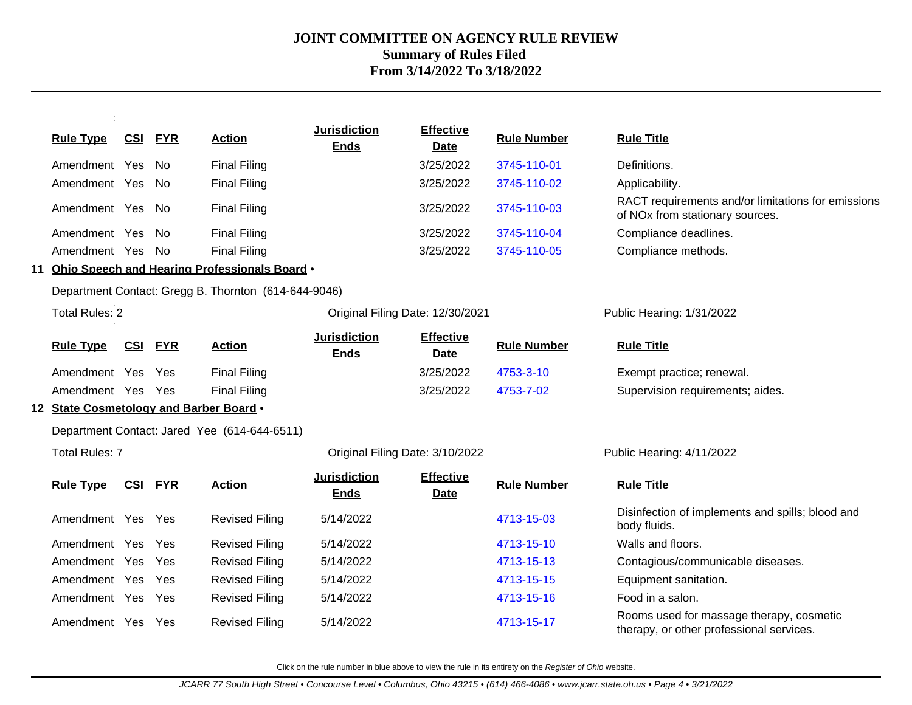| <b>Rule Type</b>                        | <b>CSI</b> | <b>FYR</b> | <b>Action</b>                                        | <b>Jurisdiction</b><br><b>Ends</b> | <b>Effective</b><br><b>Date</b> | <b>Rule Number</b> | <b>Rule Title</b>                                                                     |
|-----------------------------------------|------------|------------|------------------------------------------------------|------------------------------------|---------------------------------|--------------------|---------------------------------------------------------------------------------------|
| Amendment Yes                           |            | No.        | <b>Final Filing</b>                                  |                                    | 3/25/2022                       | 3745-110-01        | Definitions.                                                                          |
| Amendment Yes                           |            | No.        | <b>Final Filing</b>                                  |                                    | 3/25/2022                       | 3745-110-02        | Applicability.                                                                        |
| Amendment Yes No                        |            |            | <b>Final Filing</b>                                  |                                    | 3/25/2022                       | 3745-110-03        | RACT requirements and/or limitations for emissions<br>of NOx from stationary sources. |
| Amendment Yes                           |            | No         | <b>Final Filing</b>                                  |                                    | 3/25/2022                       | 3745-110-04        | Compliance deadlines.                                                                 |
| Amendment Yes                           |            | No.        | <b>Final Filing</b>                                  |                                    | 3/25/2022                       | 3745-110-05        | Compliance methods.                                                                   |
|                                         |            |            | 11 Ohio Speech and Hearing Professionals Board .     |                                    |                                 |                    |                                                                                       |
|                                         |            |            | Department Contact: Gregg B. Thornton (614-644-9046) |                                    |                                 |                    |                                                                                       |
| <b>Total Rules: 2</b>                   |            |            |                                                      | Original Filing Date: 12/30/2021   |                                 |                    | Public Hearing: 1/31/2022                                                             |
| <b>Rule Type</b>                        | CSI        | <b>FYR</b> | <b>Action</b>                                        | <b>Jurisdiction</b><br><b>Ends</b> | <b>Effective</b><br><b>Date</b> | <b>Rule Number</b> | <b>Rule Title</b>                                                                     |
| Amendment Yes                           |            | Yes        | <b>Final Filing</b>                                  |                                    | 3/25/2022                       | 4753-3-10          | Exempt practice; renewal.                                                             |
| Amendment Yes Yes                       |            |            | <b>Final Filing</b>                                  |                                    | 3/25/2022                       | 4753-7-02          | Supervision requirements; aides.                                                      |
| 12 State Cosmetology and Barber Board . |            |            |                                                      |                                    |                                 |                    |                                                                                       |
|                                         |            |            | Department Contact: Jared Yee (614-644-6511)         |                                    |                                 |                    |                                                                                       |
| <b>Total Rules: 7</b>                   |            |            |                                                      | Original Filing Date: 3/10/2022    |                                 |                    | Public Hearing: 4/11/2022                                                             |
| <b>Rule Type</b>                        | <b>CSI</b> | <b>FYR</b> | <b>Action</b>                                        | <b>Jurisdiction</b><br><b>Ends</b> | <b>Effective</b><br><b>Date</b> | <b>Rule Number</b> | <b>Rule Title</b>                                                                     |
| Amendment Yes Yes                       |            |            | <b>Revised Filing</b>                                | 5/14/2022                          |                                 | 4713-15-03         | Disinfection of implements and spills; blood and<br>body fluids.                      |
| Amendment Yes                           |            | Yes        | <b>Revised Filing</b>                                | 5/14/2022                          |                                 | 4713-15-10         | Walls and floors.                                                                     |
| Amendment Yes                           |            | Yes        | <b>Revised Filing</b>                                | 5/14/2022                          |                                 | 4713-15-13         | Contagious/communicable diseases.                                                     |
| Amendment Yes                           |            | Yes        | <b>Revised Filing</b>                                | 5/14/2022                          |                                 | 4713-15-15         | Equipment sanitation.                                                                 |
| Amendment Yes Yes                       |            |            | <b>Revised Filing</b>                                | 5/14/2022                          |                                 | 4713-15-16         | Food in a salon.                                                                      |
| Amendment Yes                           |            | Yes        | <b>Revised Filing</b>                                | 5/14/2022                          |                                 | 4713-15-17         | Rooms used for massage therapy, cosmetic<br>therapy, or other professional services.  |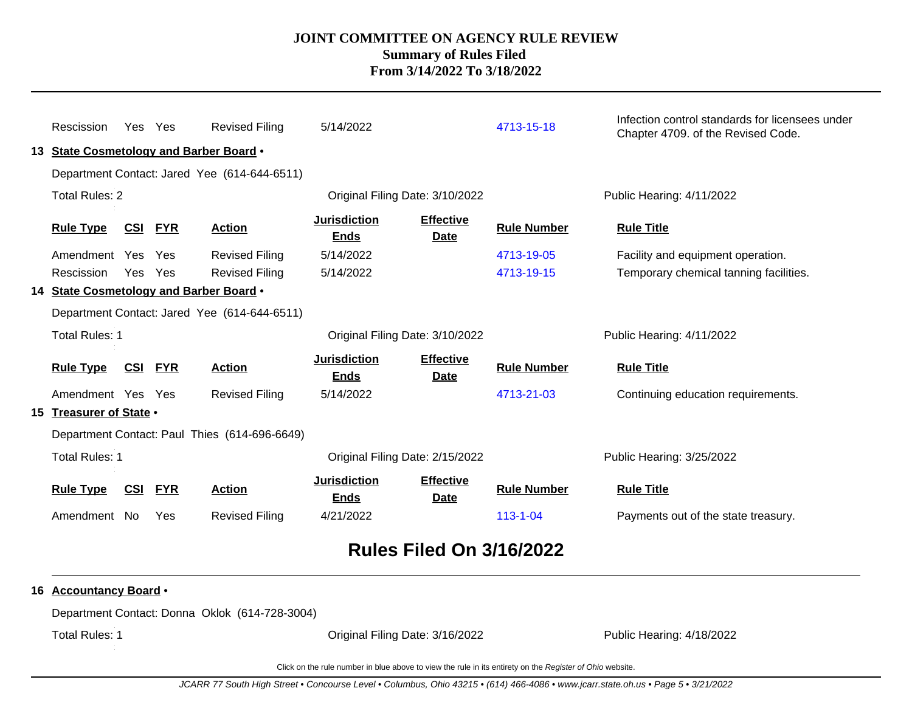| Rescission              | Yes Yes    |            | <b>Revised Filing</b><br>13 State Cosmetology and Barber Board .<br>Department Contact: Jared Yee (614-644-6511) | 5/14/2022                          |                                 | 4713-15-18         | Infection control standards for licensees under<br>Chapter 4709. of the Revised Code. |
|-------------------------|------------|------------|------------------------------------------------------------------------------------------------------------------|------------------------------------|---------------------------------|--------------------|---------------------------------------------------------------------------------------|
| <b>Total Rules: 2</b>   |            |            |                                                                                                                  |                                    | Original Filing Date: 3/10/2022 |                    | Public Hearing: 4/11/2022                                                             |
| <b>Rule Type</b>        | CSI        | <b>FYR</b> | <b>Action</b>                                                                                                    | <b>Jurisdiction</b><br><b>Ends</b> | <b>Effective</b><br><b>Date</b> | <b>Rule Number</b> | <b>Rule Title</b>                                                                     |
| Amendment Yes Yes       |            |            | <b>Revised Filing</b>                                                                                            | 5/14/2022                          |                                 | 4713-19-05         | Facility and equipment operation.                                                     |
| Rescission              | Yes        | Yes        | <b>Revised Filing</b>                                                                                            | 5/14/2022                          |                                 | 4713-19-15         | Temporary chemical tanning facilities.                                                |
|                         |            |            | 14 State Cosmetology and Barber Board .                                                                          |                                    |                                 |                    |                                                                                       |
|                         |            |            | Department Contact: Jared Yee (614-644-6511)                                                                     |                                    |                                 |                    |                                                                                       |
| <b>Total Rules: 1</b>   |            |            |                                                                                                                  | Original Filing Date: 3/10/2022    |                                 |                    | Public Hearing: 4/11/2022                                                             |
| <b>Rule Type</b>        | CSI        | <b>FYR</b> | <b>Action</b>                                                                                                    | <b>Jurisdiction</b><br><b>Ends</b> | <b>Effective</b><br><b>Date</b> | <b>Rule Number</b> | <b>Rule Title</b>                                                                     |
| Amendment Yes Yes       |            |            | <b>Revised Filing</b>                                                                                            | 5/14/2022                          |                                 | 4713-21-03         | Continuing education requirements.                                                    |
| 15 Treasurer of State . |            |            |                                                                                                                  |                                    |                                 |                    |                                                                                       |
|                         |            |            | Department Contact: Paul Thies (614-696-6649)                                                                    |                                    |                                 |                    |                                                                                       |
| <b>Total Rules: 1</b>   |            |            |                                                                                                                  |                                    | Original Filing Date: 2/15/2022 |                    | Public Hearing: 3/25/2022                                                             |
| <b>Rule Type</b>        | <u>CSI</u> | <u>FYR</u> | <b>Action</b>                                                                                                    | <b>Jurisdiction</b><br><b>Ends</b> | <b>Effective</b><br>Date        | <b>Rule Number</b> | <b>Rule Title</b>                                                                     |
| Amendment No            |            | Yes        | <b>Revised Filing</b>                                                                                            | 4/21/2022                          |                                 | $113 - 1 - 04$     | Payments out of the state treasury.                                                   |
|                         |            |            |                                                                                                                  |                                    |                                 |                    |                                                                                       |

# **Rules Filed On 3/16/2022**

### **16 Accountancy Board** •

Department Contact: Donna Oklok (614-728-3004)

Total Rules: 1

Original Filing Date: 3/16/2022 Public Hearing: 4/18/2022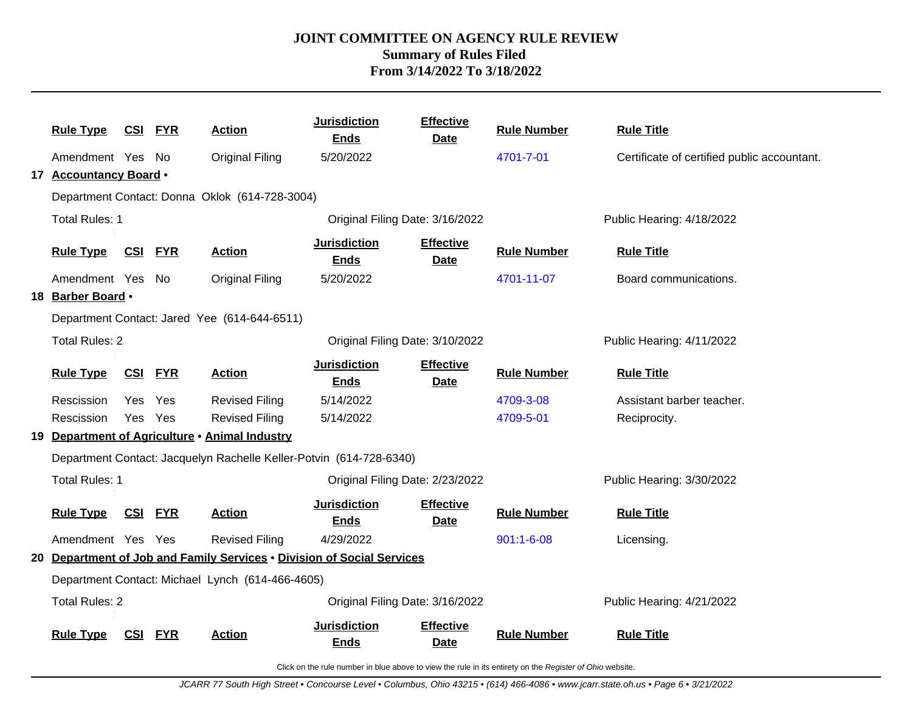| <b>Rule Type</b>       |                | <u>CSI FYR</u> | <b>Action</b>                                    | <b>Jurisdiction</b><br><b>Ends</b>                                     | <b>Effective</b><br><b>Date</b> | <b>Rule Number</b> | <b>Rule Title</b>                           |
|------------------------|----------------|----------------|--------------------------------------------------|------------------------------------------------------------------------|---------------------------------|--------------------|---------------------------------------------|
| Amendment Yes No       |                |                | <b>Original Filing</b>                           | 5/20/2022                                                              |                                 | 4701-7-01          | Certificate of certified public accountant. |
| 17 Accountancy Board . |                |                |                                                  |                                                                        |                                 |                    |                                             |
|                        |                |                | Department Contact: Donna Oklok (614-728-3004)   |                                                                        |                                 |                    |                                             |
| <b>Total Rules: 1</b>  |                |                |                                                  | Original Filing Date: 3/16/2022                                        |                                 |                    | Public Hearing: 4/18/2022                   |
| <b>Rule Type</b>       | <u>CSI FYR</u> |                | <b>Action</b>                                    | <b>Jurisdiction</b><br><b>Ends</b>                                     | <b>Effective</b><br>Date        | <b>Rule Number</b> | <b>Rule Title</b>                           |
| Amendment Yes No       |                |                | <b>Original Filing</b>                           | 5/20/2022                                                              |                                 | 4701-11-07         | Board communications.                       |
| 18 Barber Board .      |                |                |                                                  |                                                                        |                                 |                    |                                             |
|                        |                |                | Department Contact: Jared Yee (614-644-6511)     |                                                                        |                                 |                    |                                             |
| <b>Total Rules: 2</b>  |                |                |                                                  | Original Filing Date: 3/10/2022                                        |                                 |                    | Public Hearing: 4/11/2022                   |
| <b>Rule Type</b>       | <u>CSI</u>     | <b>FYR</b>     | <b>Action</b>                                    | <b>Jurisdiction</b><br><b>Ends</b>                                     | <b>Effective</b><br><b>Date</b> | <b>Rule Number</b> | <b>Rule Title</b>                           |
| Rescission             | Yes            | Yes            | <b>Revised Filing</b>                            | 5/14/2022                                                              |                                 | 4709-3-08          | Assistant barber teacher.                   |
| Rescission             | Yes            | Yes            | <b>Revised Filing</b>                            | 5/14/2022                                                              |                                 | 4709-5-01          | Reciprocity.                                |
|                        |                |                | 19 Department of Agriculture • Animal Industry   |                                                                        |                                 |                    |                                             |
|                        |                |                |                                                  | Department Contact: Jacquelyn Rachelle Keller-Potvin (614-728-6340)    |                                 |                    |                                             |
| <b>Total Rules: 1</b>  |                |                |                                                  | Original Filing Date: 2/23/2022                                        |                                 |                    | Public Hearing: 3/30/2022                   |
| <b>Rule Type</b>       | <u>CSI</u>     | <b>FYR</b>     | <b>Action</b>                                    | <b>Jurisdiction</b><br><u>Ends</u>                                     | <b>Effective</b><br><b>Date</b> | <b>Rule Number</b> | <b>Rule Title</b>                           |
| Amendment Yes Yes      |                |                | <b>Revised Filing</b>                            | 4/29/2022                                                              |                                 | $901:1 - 6 - 08$   | Licensing.                                  |
|                        |                |                |                                                  | 20 Department of Job and Family Services . Division of Social Services |                                 |                    |                                             |
|                        |                |                | Department Contact: Michael Lynch (614-466-4605) |                                                                        |                                 |                    |                                             |
| <b>Total Rules: 2</b>  |                |                |                                                  | Original Filing Date: 3/16/2022                                        |                                 |                    | Public Hearing: 4/21/2022                   |
| <b>Rule Type</b>       | <u>CSI</u>     | <b>FYR</b>     | <b>Action</b>                                    | <b>Jurisdiction</b><br><b>Ends</b>                                     | <b>Effective</b><br>Date        | <b>Rule Number</b> | <b>Rule Title</b>                           |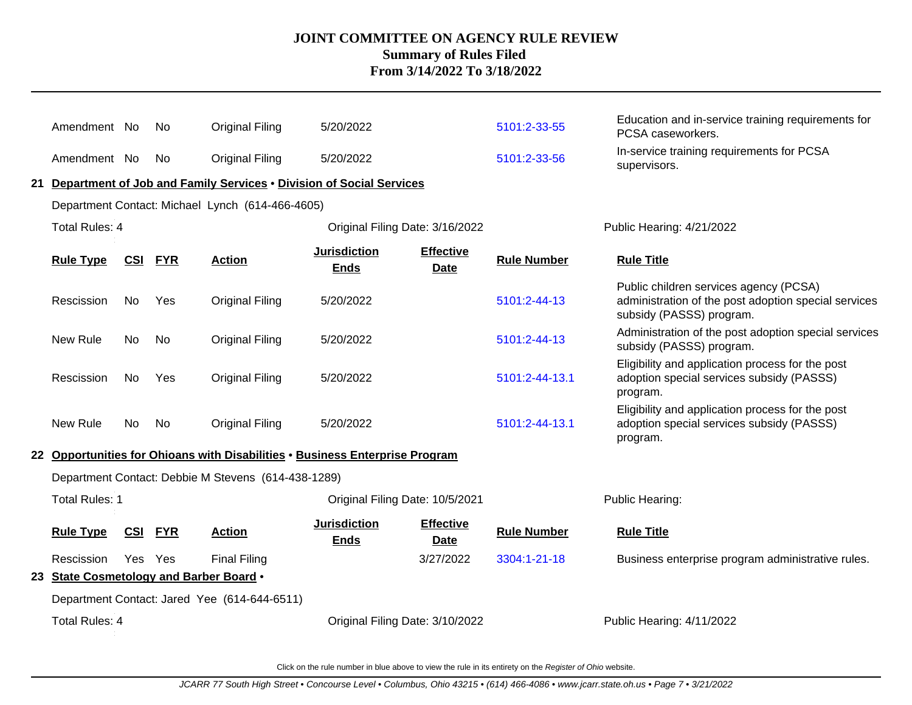|  | Amendment No                            |            | No         | <b>Original Filing</b>                                                       | 5/20/2022                          |                                 | 5101:2-33-55       | Education and in-service training requirements for<br>PCSA caseworkers.                                                    |
|--|-----------------------------------------|------------|------------|------------------------------------------------------------------------------|------------------------------------|---------------------------------|--------------------|----------------------------------------------------------------------------------------------------------------------------|
|  | Amendment No                            |            | No         | <b>Original Filing</b>                                                       | 5/20/2022                          |                                 | 5101:2-33-56       | In-service training requirements for PCSA<br>supervisors.                                                                  |
|  |                                         |            |            | 21 Department of Job and Family Services . Division of Social Services       |                                    |                                 |                    |                                                                                                                            |
|  |                                         |            |            | Department Contact: Michael Lynch (614-466-4605)                             |                                    |                                 |                    |                                                                                                                            |
|  | <b>Total Rules: 4</b>                   |            |            |                                                                              | Original Filing Date: 3/16/2022    |                                 |                    | Public Hearing: 4/21/2022                                                                                                  |
|  | <b>Rule Type</b>                        | <u>CSI</u> | <b>FYR</b> | <b>Action</b>                                                                | <b>Jurisdiction</b><br><b>Ends</b> | <b>Effective</b><br><b>Date</b> | <b>Rule Number</b> | <b>Rule Title</b>                                                                                                          |
|  | Rescission                              | No.        | Yes        | <b>Original Filing</b>                                                       | 5/20/2022                          |                                 | 5101:2-44-13       | Public children services agency (PCSA)<br>administration of the post adoption special services<br>subsidy (PASSS) program. |
|  | New Rule                                | No.        | No         | <b>Original Filing</b>                                                       | 5/20/2022                          |                                 | 5101:2-44-13       | Administration of the post adoption special services<br>subsidy (PASSS) program.                                           |
|  | Rescission                              | No.        | Yes        | <b>Original Filing</b>                                                       | 5/20/2022                          |                                 | 5101:2-44-13.1     | Eligibility and application process for the post<br>adoption special services subsidy (PASSS)<br>program.                  |
|  | New Rule                                | No.        | No         | <b>Original Filing</b>                                                       | 5/20/2022                          |                                 | 5101:2-44-13.1     | Eligibility and application process for the post<br>adoption special services subsidy (PASSS)<br>program.                  |
|  |                                         |            |            | 22 Opportunities for Ohioans with Disabilities . Business Enterprise Program |                                    |                                 |                    |                                                                                                                            |
|  |                                         |            |            | Department Contact: Debbie M Stevens (614-438-1289)                          |                                    |                                 |                    |                                                                                                                            |
|  | <b>Total Rules: 1</b>                   |            |            |                                                                              | Original Filing Date: 10/5/2021    |                                 |                    | Public Hearing:                                                                                                            |
|  | <b>Rule Type</b>                        | <u>CSI</u> | <b>FYR</b> | <b>Action</b>                                                                | <b>Jurisdiction</b><br><b>Ends</b> | <b>Effective</b><br><b>Date</b> | <b>Rule Number</b> | <b>Rule Title</b>                                                                                                          |
|  | Rescission                              | Yes Yes    |            | <b>Final Filing</b>                                                          |                                    | 3/27/2022                       | 3304:1-21-18       | Business enterprise program administrative rules.                                                                          |
|  | 23 State Cosmetology and Barber Board . |            |            |                                                                              |                                    |                                 |                    |                                                                                                                            |
|  |                                         |            |            | Department Contact: Jared Yee (614-644-6511)                                 |                                    |                                 |                    |                                                                                                                            |
|  | Total Rules: 4                          |            |            |                                                                              | Original Filing Date: 3/10/2022    |                                 |                    | Public Hearing: 4/11/2022                                                                                                  |
|  |                                         |            |            |                                                                              |                                    |                                 |                    |                                                                                                                            |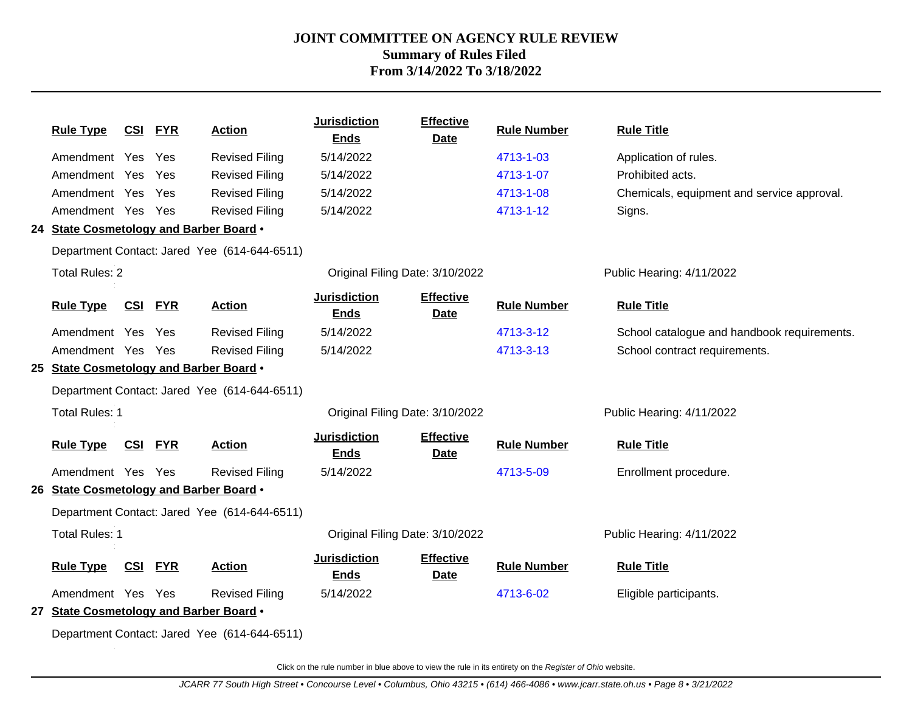| <b>Rule Type</b>                        | <b>CSI FYR</b> |            | <b>Action</b>                                | <b>Jurisdiction</b><br><b>Ends</b> | <b>Effective</b><br><b>Date</b> | <b>Rule Number</b> | <b>Rule Title</b>                           |
|-----------------------------------------|----------------|------------|----------------------------------------------|------------------------------------|---------------------------------|--------------------|---------------------------------------------|
| Amendment Yes                           |                | Yes        | <b>Revised Filing</b>                        | 5/14/2022                          |                                 | 4713-1-03          | Application of rules.                       |
| Amendment Yes                           |                | Yes        | <b>Revised Filing</b>                        | 5/14/2022                          |                                 | 4713-1-07          | Prohibited acts.                            |
| Amendment Yes                           |                | Yes        | <b>Revised Filing</b>                        | 5/14/2022                          |                                 | 4713-1-08          | Chemicals, equipment and service approval.  |
| Amendment Yes Yes                       |                |            | <b>Revised Filing</b>                        | 5/14/2022                          |                                 | 4713-1-12          | Signs.                                      |
| 24 State Cosmetology and Barber Board . |                |            |                                              |                                    |                                 |                    |                                             |
|                                         |                |            | Department Contact: Jared Yee (614-644-6511) |                                    |                                 |                    |                                             |
| <b>Total Rules: 2</b>                   |                |            |                                              | Original Filing Date: 3/10/2022    |                                 |                    | Public Hearing: 4/11/2022                   |
| <b>Rule Type</b>                        | <u>CSI</u>     | <b>FYR</b> | <b>Action</b>                                | <b>Jurisdiction</b><br><b>Ends</b> | <b>Effective</b><br><b>Date</b> | <b>Rule Number</b> | <b>Rule Title</b>                           |
| Amendment Yes Yes                       |                |            | <b>Revised Filing</b>                        | 5/14/2022                          |                                 | 4713-3-12          | School catalogue and handbook requirements. |
| Amendment Yes Yes                       |                |            | <b>Revised Filing</b>                        | 5/14/2022                          |                                 | 4713-3-13          | School contract requirements.               |
| 25 State Cosmetology and Barber Board . |                |            |                                              |                                    |                                 |                    |                                             |
|                                         |                |            | Department Contact: Jared Yee (614-644-6511) |                                    |                                 |                    |                                             |
| <b>Total Rules: 1</b>                   |                |            |                                              | Original Filing Date: 3/10/2022    |                                 |                    | Public Hearing: 4/11/2022                   |
| <b>Rule Type</b>                        | <b>CSI FYR</b> |            | <b>Action</b>                                | <b>Jurisdiction</b><br><b>Ends</b> | <b>Effective</b><br>Date        | <b>Rule Number</b> | <b>Rule Title</b>                           |
| Amendment Yes Yes                       |                |            | <b>Revised Filing</b>                        | 5/14/2022                          |                                 | 4713-5-09          | Enrollment procedure.                       |
| 26 State Cosmetology and Barber Board . |                |            |                                              |                                    |                                 |                    |                                             |
|                                         |                |            | Department Contact: Jared Yee (614-644-6511) |                                    |                                 |                    |                                             |
| <b>Total Rules: 1</b>                   |                |            |                                              | Original Filing Date: 3/10/2022    |                                 |                    | Public Hearing: 4/11/2022                   |
| <b>Rule Type</b>                        | <b>CSI FYR</b> |            | <b>Action</b>                                | <b>Jurisdiction</b><br><b>Ends</b> | <b>Effective</b><br>Date        | <b>Rule Number</b> | <b>Rule Title</b>                           |
| Amendment Yes Yes                       |                |            | <b>Revised Filing</b>                        | 5/14/2022                          |                                 | 4713-6-02          | Eligible participants.                      |
| 27 State Cosmetology and Barber Board . |                |            |                                              |                                    |                                 |                    |                                             |
|                                         |                |            | Department Contact: Jared Yee (614-644-6511) |                                    |                                 |                    |                                             |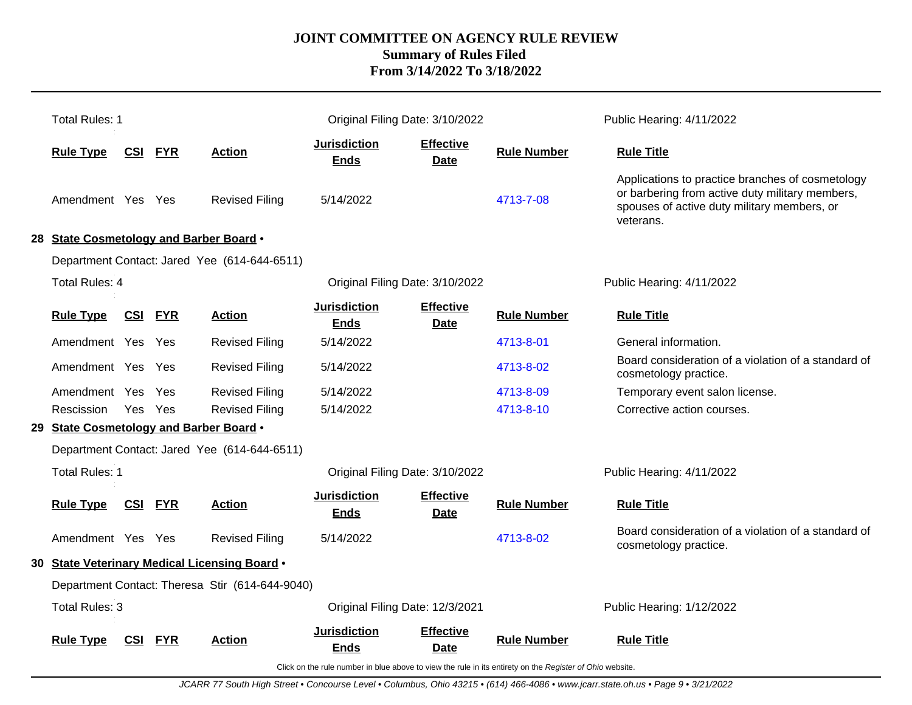|                                                 | <b>Total Rules: 1</b>                   |            |            |                                               | Original Filing Date: 3/10/2022    |                                 |                    | Public Hearing: 4/11/2022                                                                                                                                       |
|-------------------------------------------------|-----------------------------------------|------------|------------|-----------------------------------------------|------------------------------------|---------------------------------|--------------------|-----------------------------------------------------------------------------------------------------------------------------------------------------------------|
|                                                 | <b>Rule Type</b>                        | <u>CSI</u> | <b>FYR</b> | <b>Action</b>                                 | <b>Jurisdiction</b><br><b>Ends</b> | <b>Effective</b><br><b>Date</b> | <b>Rule Number</b> | <b>Rule Title</b>                                                                                                                                               |
|                                                 | Amendment Yes Yes                       |            |            | <b>Revised Filing</b>                         | 5/14/2022                          |                                 | 4713-7-08          | Applications to practice branches of cosmetology<br>or barbering from active duty military members,<br>spouses of active duty military members, or<br>veterans. |
|                                                 | 28 State Cosmetology and Barber Board . |            |            |                                               |                                    |                                 |                    |                                                                                                                                                                 |
|                                                 |                                         |            |            | Department Contact: Jared Yee (614-644-6511)  |                                    |                                 |                    |                                                                                                                                                                 |
|                                                 | Total Rules: 4                          |            |            |                                               | Original Filing Date: 3/10/2022    |                                 |                    | Public Hearing: 4/11/2022                                                                                                                                       |
|                                                 | <b>Rule Type</b>                        | <u>CSI</u> | <b>FYR</b> | <b>Action</b>                                 | <b>Jurisdiction</b><br><b>Ends</b> | <b>Effective</b><br><b>Date</b> | <b>Rule Number</b> | <b>Rule Title</b>                                                                                                                                               |
|                                                 | Amendment Yes Yes                       |            |            | <b>Revised Filing</b>                         | 5/14/2022                          |                                 | 4713-8-01          | General information.                                                                                                                                            |
|                                                 | Amendment Yes Yes                       |            |            | <b>Revised Filing</b>                         | 5/14/2022                          |                                 | 4713-8-02          | Board consideration of a violation of a standard of<br>cosmetology practice.                                                                                    |
|                                                 | Amendment Yes                           |            | Yes        | <b>Revised Filing</b>                         | 5/14/2022                          |                                 | 4713-8-09          | Temporary event salon license.                                                                                                                                  |
|                                                 | Rescission                              | Yes Yes    |            | <b>Revised Filing</b>                         | 5/14/2022                          |                                 | 4713-8-10          | Corrective action courses.                                                                                                                                      |
|                                                 | 29 State Cosmetology and Barber Board . |            |            |                                               |                                    |                                 |                    |                                                                                                                                                                 |
|                                                 |                                         |            |            | Department Contact: Jared Yee (614-644-6511)  |                                    |                                 |                    |                                                                                                                                                                 |
|                                                 | <b>Total Rules: 1</b>                   |            |            |                                               | Original Filing Date: 3/10/2022    |                                 |                    | Public Hearing: 4/11/2022                                                                                                                                       |
|                                                 | <b>Rule Type</b>                        | CSI FYR    |            | <b>Action</b>                                 | <b>Jurisdiction</b><br><b>Ends</b> | <b>Effective</b><br><b>Date</b> | <b>Rule Number</b> | <b>Rule Title</b>                                                                                                                                               |
|                                                 | Amendment Yes Yes                       |            |            | <b>Revised Filing</b>                         | 5/14/2022                          |                                 | 4713-8-02          | Board consideration of a violation of a standard of<br>cosmetology practice.                                                                                    |
|                                                 |                                         |            |            | 30 State Veterinary Medical Licensing Board . |                                    |                                 |                    |                                                                                                                                                                 |
| Department Contact: Theresa Stir (614-644-9040) |                                         |            |            |                                               |                                    |                                 |                    |                                                                                                                                                                 |
| Total Rules: 3                                  |                                         |            |            |                                               | Original Filing Date: 12/3/2021    |                                 |                    | Public Hearing: 1/12/2022                                                                                                                                       |
|                                                 | <b>Rule Type</b>                        | <b>CSI</b> | <b>FYR</b> | <b>Action</b>                                 | <b>Jurisdiction</b><br><b>Ends</b> | <b>Effective</b><br><b>Date</b> | <b>Rule Number</b> | <b>Rule Title</b>                                                                                                                                               |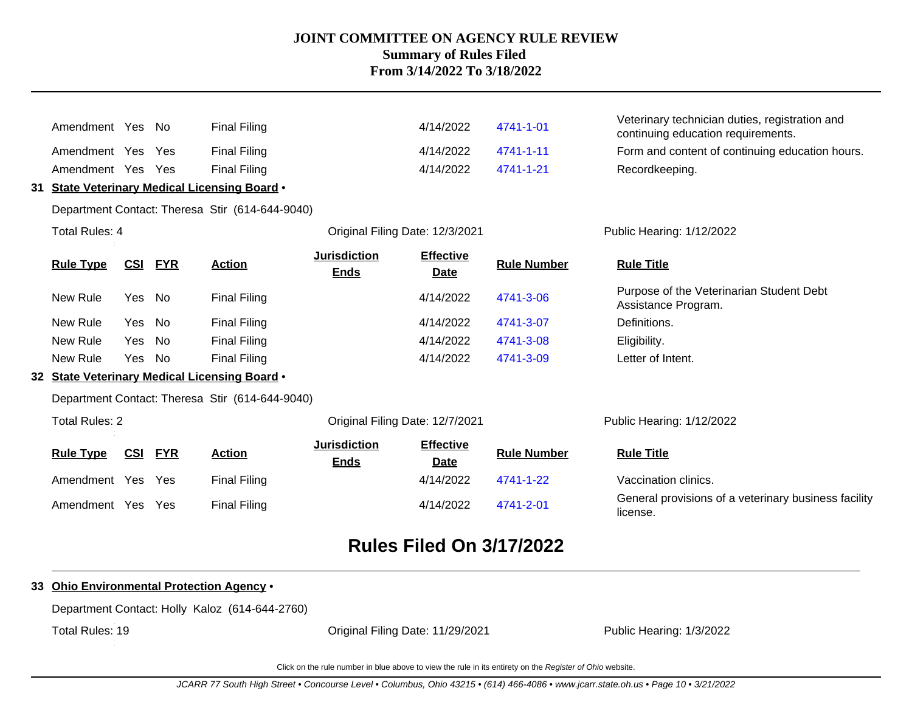|    | Amendment Yes No      |            |            | <b>Final Filing</b>                               |                                    | 4/14/2022                       | 4741-1-01          | Veterinary technician duties, registration and<br>continuing education requirements. |
|----|-----------------------|------------|------------|---------------------------------------------------|------------------------------------|---------------------------------|--------------------|--------------------------------------------------------------------------------------|
|    | Amendment Yes Yes     |            |            | <b>Final Filing</b>                               |                                    | 4/14/2022                       | 4741-1-11          | Form and content of continuing education hours.                                      |
|    | Amendment Yes Yes     |            |            | <b>Final Filing</b>                               |                                    | 4/14/2022                       | 4741-1-21          | Recordkeeping.                                                                       |
| 31 |                       |            |            | <b>State Veterinary Medical Licensing Board .</b> |                                    |                                 |                    |                                                                                      |
|    |                       |            |            | Department Contact: Theresa Stir (614-644-9040)   |                                    |                                 |                    |                                                                                      |
|    | Total Rules: 4        |            |            |                                                   | Original Filing Date: 12/3/2021    |                                 |                    | Public Hearing: 1/12/2022                                                            |
|    | <b>Rule Type</b>      | <b>CSI</b> | <b>FYR</b> | <b>Action</b>                                     | <b>Jurisdiction</b><br><b>Ends</b> | <b>Effective</b><br><b>Date</b> | <b>Rule Number</b> | <b>Rule Title</b>                                                                    |
|    | New Rule              | Yes        | No         | <b>Final Filing</b>                               |                                    | 4/14/2022                       | 4741-3-06          | Purpose of the Veterinarian Student Debt<br>Assistance Program.                      |
|    | New Rule              | Yes        | No         | <b>Final Filing</b>                               |                                    | 4/14/2022                       | 4741-3-07          | Definitions.                                                                         |
|    | New Rule              | Yes        | No         | <b>Final Filing</b>                               |                                    | 4/14/2022                       | 4741-3-08          | Eligibility.                                                                         |
|    | New Rule              | Yes No     |            | <b>Final Filing</b>                               |                                    | 4/14/2022                       | 4741-3-09          | Letter of Intent.                                                                    |
| 32 |                       |            |            | State Veterinary Medical Licensing Board .        |                                    |                                 |                    |                                                                                      |
|    |                       |            |            | Department Contact: Theresa Stir (614-644-9040)   |                                    |                                 |                    |                                                                                      |
|    | <b>Total Rules: 2</b> |            |            |                                                   | Original Filing Date: 12/7/2021    |                                 |                    | Public Hearing: 1/12/2022                                                            |
|    | <b>Rule Type</b>      | CSI        | <b>FYR</b> | <b>Action</b>                                     | <b>Jurisdiction</b><br><b>Ends</b> | <b>Effective</b><br><b>Date</b> | <b>Rule Number</b> | <b>Rule Title</b>                                                                    |
|    | Amendment Yes Yes     |            |            | <b>Final Filing</b>                               |                                    | 4/14/2022                       | 4741-1-22          | Vaccination clinics.                                                                 |
|    | Amendment Yes         |            | Yes        | <b>Final Filing</b>                               |                                    | 4/14/2022                       | 4741-2-01          | General provisions of a veterinary business facility<br>license.                     |

# **Rules Filed On 3/17/2022**

### **33 Ohio Environmental Protection Agency** •

Department Contact: Holly Kaloz (614-644-2760)

Total Rules: 19

Original Filing Date: 11/29/2021 Public Hearing: 1/3/2022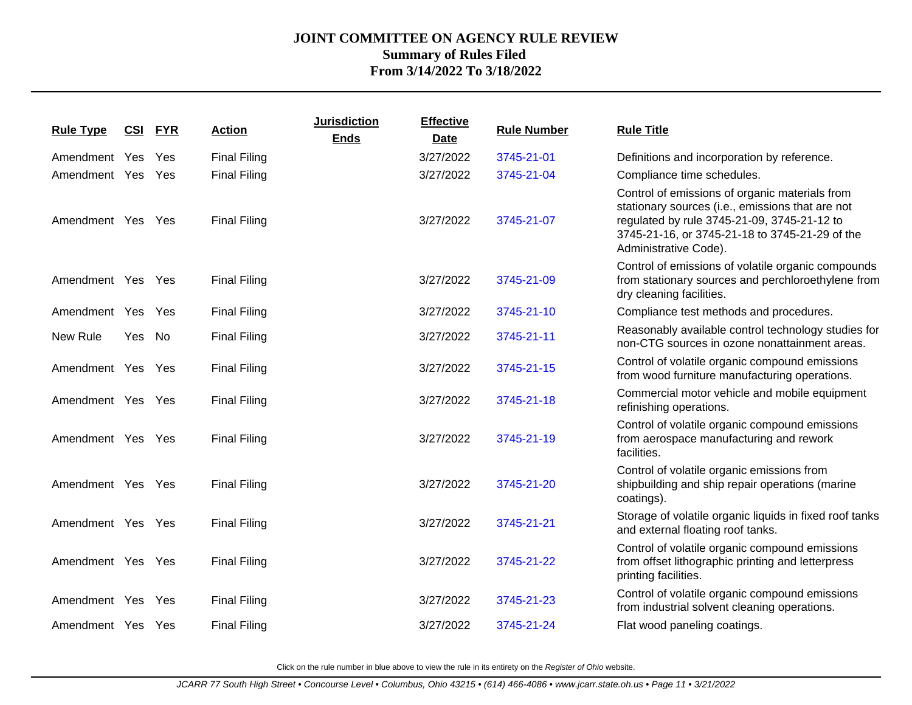| <b>Rule Type</b>  |        | <b>CSI FYR</b> | <b>Action</b>       | <b>Jurisdiction</b><br><b>Ends</b> | <b>Effective</b><br><b>Date</b> | <b>Rule Number</b> | <b>Rule Title</b>                                                                                                                                                                                                            |
|-------------------|--------|----------------|---------------------|------------------------------------|---------------------------------|--------------------|------------------------------------------------------------------------------------------------------------------------------------------------------------------------------------------------------------------------------|
| Amendment         | Yes    | Yes            | <b>Final Filing</b> |                                    | 3/27/2022                       | 3745-21-01         | Definitions and incorporation by reference.                                                                                                                                                                                  |
| Amendment Yes Yes |        |                | <b>Final Filing</b> |                                    | 3/27/2022                       | 3745-21-04         | Compliance time schedules.                                                                                                                                                                                                   |
| Amendment Yes Yes |        |                | <b>Final Filing</b> |                                    | 3/27/2022                       | 3745-21-07         | Control of emissions of organic materials from<br>stationary sources (i.e., emissions that are not<br>regulated by rule 3745-21-09, 3745-21-12 to<br>3745-21-16, or 3745-21-18 to 3745-21-29 of the<br>Administrative Code). |
| Amendment Yes Yes |        |                | <b>Final Filing</b> |                                    | 3/27/2022                       | 3745-21-09         | Control of emissions of volatile organic compounds<br>from stationary sources and perchloroethylene from<br>dry cleaning facilities.                                                                                         |
| Amendment Yes Yes |        |                | <b>Final Filing</b> |                                    | 3/27/2022                       | 3745-21-10         | Compliance test methods and procedures.                                                                                                                                                                                      |
| New Rule          | Yes No |                | <b>Final Filing</b> |                                    | 3/27/2022                       | 3745-21-11         | Reasonably available control technology studies for<br>non-CTG sources in ozone nonattainment areas.                                                                                                                         |
| Amendment Yes Yes |        |                | <b>Final Filing</b> |                                    | 3/27/2022                       | 3745-21-15         | Control of volatile organic compound emissions<br>from wood furniture manufacturing operations.                                                                                                                              |
| Amendment Yes Yes |        |                | <b>Final Filing</b> |                                    | 3/27/2022                       | 3745-21-18         | Commercial motor vehicle and mobile equipment<br>refinishing operations.                                                                                                                                                     |
| Amendment Yes Yes |        |                | <b>Final Filing</b> |                                    | 3/27/2022                       | 3745-21-19         | Control of volatile organic compound emissions<br>from aerospace manufacturing and rework<br>facilities.                                                                                                                     |
| Amendment Yes Yes |        |                | <b>Final Filing</b> |                                    | 3/27/2022                       | 3745-21-20         | Control of volatile organic emissions from<br>shipbuilding and ship repair operations (marine<br>coatings).                                                                                                                  |
| Amendment Yes Yes |        |                | <b>Final Filing</b> |                                    | 3/27/2022                       | 3745-21-21         | Storage of volatile organic liquids in fixed roof tanks<br>and external floating roof tanks.                                                                                                                                 |
| Amendment Yes Yes |        |                | <b>Final Filing</b> |                                    | 3/27/2022                       | 3745-21-22         | Control of volatile organic compound emissions<br>from offset lithographic printing and letterpress<br>printing facilities.                                                                                                  |
| Amendment Yes Yes |        |                | <b>Final Filing</b> |                                    | 3/27/2022                       | 3745-21-23         | Control of volatile organic compound emissions<br>from industrial solvent cleaning operations.                                                                                                                               |
| Amendment Yes Yes |        |                | <b>Final Filing</b> |                                    | 3/27/2022                       | 3745-21-24         | Flat wood paneling coatings.                                                                                                                                                                                                 |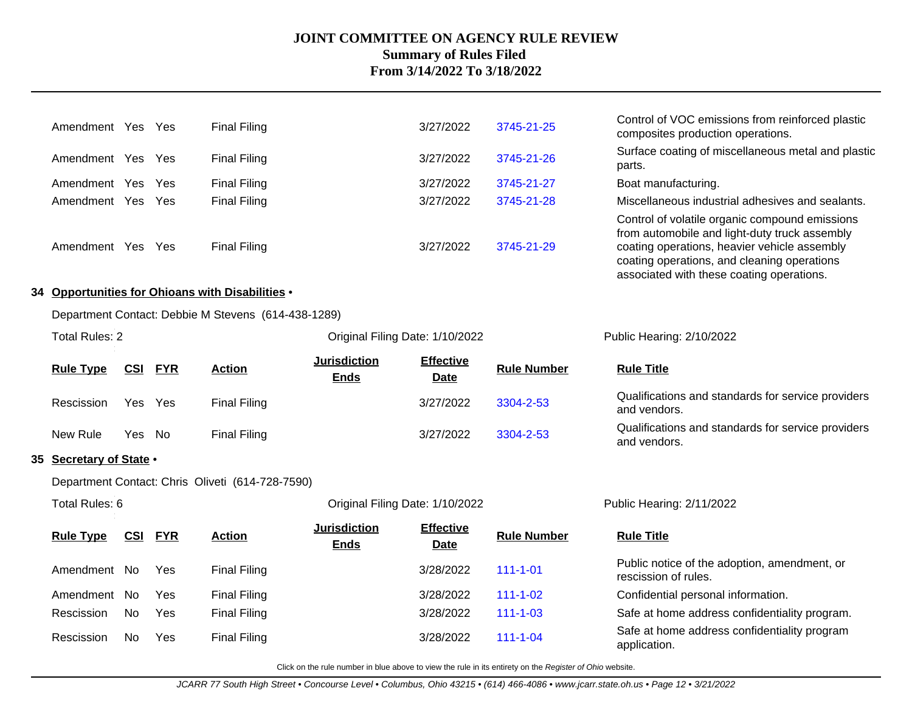| Amendment                                           | Yes | Yes | <b>Final Filing</b> | 3/27/2022 | 3745-21-25 | Control of VOC emissions from reinforced plastic<br>composites production operations.                                                                                                                                                       |  |  |  |  |
|-----------------------------------------------------|-----|-----|---------------------|-----------|------------|---------------------------------------------------------------------------------------------------------------------------------------------------------------------------------------------------------------------------------------------|--|--|--|--|
| Amendment Yes                                       |     | Yes | <b>Final Filing</b> | 3/27/2022 | 3745-21-26 | Surface coating of miscellaneous metal and plastic<br>parts.                                                                                                                                                                                |  |  |  |  |
| Amendment                                           | Yes | Yes | <b>Final Filing</b> | 3/27/2022 | 3745-21-27 | Boat manufacturing.                                                                                                                                                                                                                         |  |  |  |  |
| Amendment                                           | Yes | Yes | <b>Final Filing</b> | 3/27/2022 | 3745-21-28 | Miscellaneous industrial adhesives and sealants.                                                                                                                                                                                            |  |  |  |  |
| Amendment                                           | Yes | Yes | <b>Final Filing</b> | 3/27/2022 | 3745-21-29 | Control of volatile organic compound emissions<br>from automobile and light-duty truck assembly<br>coating operations, heavier vehicle assembly<br>coating operations, and cleaning operations<br>associated with these coating operations. |  |  |  |  |
| 34 Opportunities for Ohioans with Disabilities .    |     |     |                     |           |            |                                                                                                                                                                                                                                             |  |  |  |  |
| Department Contact: Debbie M Stevens (614-438-1289) |     |     |                     |           |            |                                                                                                                                                                                                                                             |  |  |  |  |

and vendors.

Qualifications and standards for service providers

Qualifications and standards for service providers

| Total Rules: 2   |             |                     |                                    | Original Filing Date: 1/10/2022 |                    |                                          |  |
|------------------|-------------|---------------------|------------------------------------|---------------------------------|--------------------|------------------------------------------|--|
| <b>Rule Type</b> | CSI FYR     | <b>Action</b>       | <b>Jurisdiction</b><br><b>Ends</b> | <b>Effective</b><br><b>Date</b> | <b>Rule Number</b> | <b>Rule Title</b>                        |  |
| Rescission       | Yes<br>Yes. | <b>Final Filing</b> |                                    | 3/27/2022                       | 3304-2-53          | Qualifications and stand<br>and vendors. |  |
| New Rule         | Yes<br>- No | Final Filing        |                                    | 3/27/2022                       | 3304-2-53          | Qualifications and stand<br>and vendors  |  |

### **35 Secretary of State** •

Department Contact: Chris Oliveti (614-728-7590)

| Total Rules: 6   |            |            |                     | Original Filing Date: 1/10/2022    |                                 |                    | Public Hearing: 2/11/2022                                            |
|------------------|------------|------------|---------------------|------------------------------------|---------------------------------|--------------------|----------------------------------------------------------------------|
| <b>Rule Type</b> | <u>CSI</u> | <b>FYR</b> | <b>Action</b>       | <b>Jurisdiction</b><br><b>Ends</b> | <b>Effective</b><br><b>Date</b> | <b>Rule Number</b> | <b>Rule Title</b>                                                    |
| Amendment No     |            | Yes        | <b>Final Filing</b> |                                    | 3/28/2022                       | $111 - 1 - 01$     | Public notice of the adoption, amendment, or<br>rescission of rules. |
| Amendment        | No.        | Yes        | <b>Final Filing</b> |                                    | 3/28/2022                       | $111 - 1 - 02$     | Confidential personal information.                                   |
| Rescission       | No.        | Yes        | <b>Final Filing</b> |                                    | 3/28/2022                       | $111 - 1 - 03$     | Safe at home address confidentiality program.                        |
| Rescission       | No.        | Yes        | <b>Final Filing</b> |                                    | 3/28/2022                       | $111 - 1 - 04$     | Safe at home address confidentiality program<br>application.         |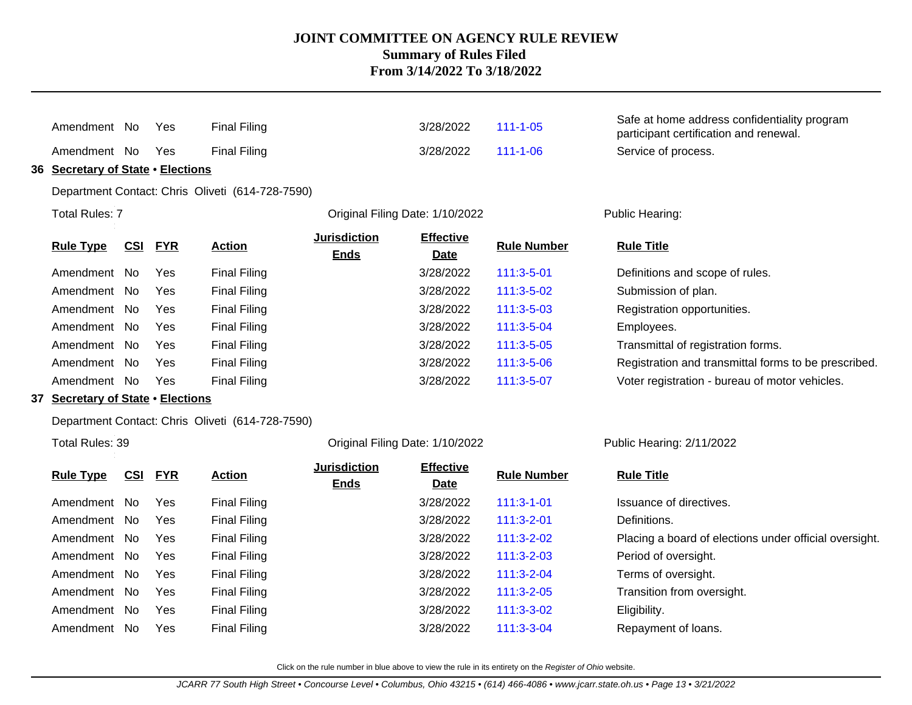|    | Amendment No                          |            | Yes        | <b>Final Filing</b>                              |                                    | 3/28/2022                       | $111 - 1 - 05$     | Safe at home address confidentiality program<br>participant certification and renewal. |
|----|---------------------------------------|------------|------------|--------------------------------------------------|------------------------------------|---------------------------------|--------------------|----------------------------------------------------------------------------------------|
|    | Amendment No                          |            | Yes        | <b>Final Filing</b>                              |                                    | 3/28/2022                       | $111 - 1 - 06$     | Service of process.                                                                    |
| 36 | <b>Secretary of State . Elections</b> |            |            |                                                  |                                    |                                 |                    |                                                                                        |
|    |                                       |            |            | Department Contact: Chris Oliveti (614-728-7590) |                                    |                                 |                    |                                                                                        |
|    | <b>Total Rules: 7</b>                 |            |            |                                                  | Original Filing Date: 1/10/2022    |                                 |                    | Public Hearing:                                                                        |
|    | <b>Rule Type</b>                      | CSI        | <b>FYR</b> | <b>Action</b>                                    | <b>Jurisdiction</b><br><b>Ends</b> | <b>Effective</b><br><b>Date</b> | <b>Rule Number</b> | <b>Rule Title</b>                                                                      |
|    | Amendment No                          |            | <b>Yes</b> | <b>Final Filing</b>                              |                                    | 3/28/2022                       | 111:3-5-01         | Definitions and scope of rules.                                                        |
|    | Amendment No                          |            | Yes        | <b>Final Filing</b>                              |                                    | 3/28/2022                       | 111:3-5-02         | Submission of plan.                                                                    |
|    | Amendment No                          |            | Yes        | <b>Final Filing</b>                              |                                    | 3/28/2022                       | 111:3-5-03         | Registration opportunities.                                                            |
|    | Amendment No                          |            | Yes        | <b>Final Filing</b>                              |                                    | 3/28/2022                       | 111:3-5-04         | Employees.                                                                             |
|    | Amendment No                          |            | Yes        | <b>Final Filing</b>                              |                                    | 3/28/2022                       | 111:3-5-05         | Transmittal of registration forms.                                                     |
|    | Amendment No                          |            | Yes        | <b>Final Filing</b>                              |                                    | 3/28/2022                       | 111:3-5-06         | Registration and transmittal forms to be prescribed.                                   |
|    | Amendment No                          |            | Yes        | <b>Final Filing</b>                              |                                    | 3/28/2022                       | 111:3-5-07         | Voter registration - bureau of motor vehicles.                                         |
|    | 37 Secretary of State . Elections     |            |            |                                                  |                                    |                                 |                    |                                                                                        |
|    |                                       |            |            | Department Contact: Chris Oliveti (614-728-7590) |                                    |                                 |                    |                                                                                        |
|    | Total Rules: 39                       |            |            |                                                  | Original Filing Date: 1/10/2022    |                                 |                    | Public Hearing: 2/11/2022                                                              |
|    | <b>Rule Type</b>                      | <u>CSI</u> | <b>FYR</b> | <b>Action</b>                                    | <b>Jurisdiction</b><br><b>Ends</b> | <b>Effective</b><br>Date        | <b>Rule Number</b> | <b>Rule Title</b>                                                                      |
|    | Amendment No                          |            | Yes        | <b>Final Filing</b>                              |                                    | 3/28/2022                       | $111:3 - 1 - 01$   | Issuance of directives.                                                                |
|    | Amendment No                          |            | Yes        | <b>Final Filing</b>                              |                                    | 3/28/2022                       | $111:3-2-01$       | Definitions.                                                                           |
|    | Amendment No                          |            | Yes        | <b>Final Filing</b>                              |                                    | 3/28/2022                       | $111:3-2-02$       | Placing a board of elections under official oversight.                                 |
|    | Amendment No                          |            | Yes        | <b>Final Filing</b>                              |                                    | 3/28/2022                       | 111:3-2-03         | Period of oversight.                                                                   |
|    | Amendment No                          |            | Yes        | <b>Final Filing</b>                              |                                    | 3/28/2022                       | 111:3-2-04         | Terms of oversight.                                                                    |
|    | Amendment No                          |            | Yes        | <b>Final Filing</b>                              |                                    | 3/28/2022                       | 111:3-2-05         | Transition from oversight.                                                             |
|    | Amendment No                          |            | Yes        | <b>Final Filing</b>                              |                                    | 3/28/2022                       | 111:3-3-02         | Eligibility.                                                                           |
|    | Amendment No                          |            | Yes        | <b>Final Filing</b>                              |                                    | 3/28/2022                       | 111:3-3-04         | Repayment of loans.                                                                    |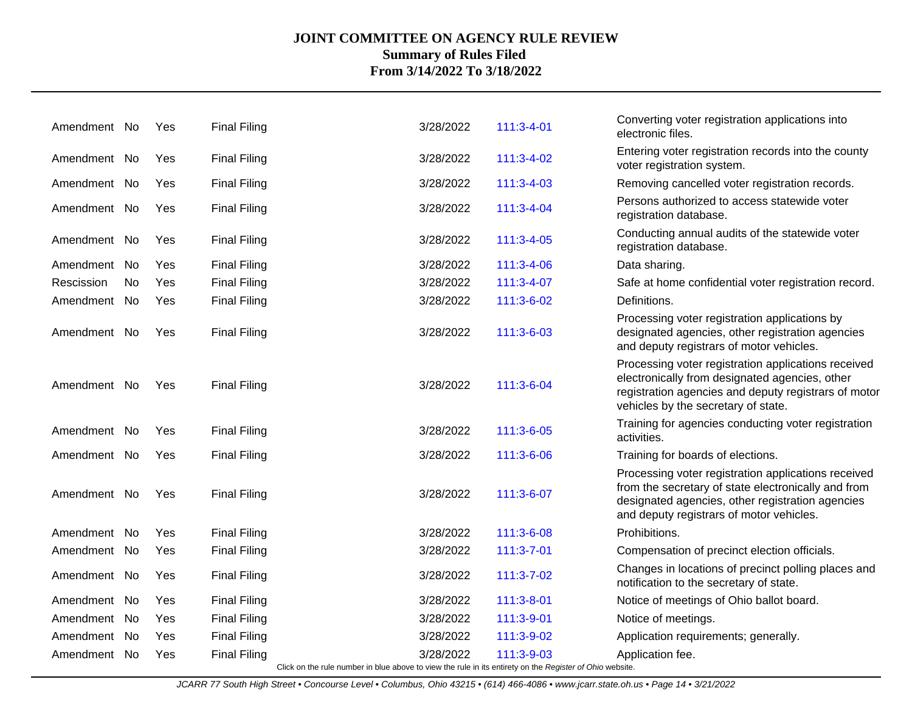| Amendment No |      | Yes        | <b>Final Filing</b>                                                                                      | 3/28/2022 | 111:3-4-01       | Converting voter registration applications into<br>electronic files.                                                                                                                                       |
|--------------|------|------------|----------------------------------------------------------------------------------------------------------|-----------|------------------|------------------------------------------------------------------------------------------------------------------------------------------------------------------------------------------------------------|
| Amendment No |      | Yes        | <b>Final Filing</b>                                                                                      | 3/28/2022 | 111:3-4-02       | Entering voter registration records into the county<br>voter registration system.                                                                                                                          |
| Amendment No |      | Yes        | <b>Final Filing</b>                                                                                      | 3/28/2022 | $111:3 - 4 - 03$ | Removing cancelled voter registration records.                                                                                                                                                             |
| Amendment No |      | Yes        | <b>Final Filing</b>                                                                                      | 3/28/2022 | $111:3 - 4 - 04$ | Persons authorized to access statewide voter<br>registration database.                                                                                                                                     |
| Amendment No |      | Yes        | <b>Final Filing</b>                                                                                      | 3/28/2022 | $111:3 - 4 - 05$ | Conducting annual audits of the statewide voter<br>registration database.                                                                                                                                  |
| Amendment No |      | Yes        | <b>Final Filing</b>                                                                                      | 3/28/2022 | 111:3-4-06       | Data sharing.                                                                                                                                                                                              |
| Rescission   | No.  | Yes        | <b>Final Filing</b>                                                                                      | 3/28/2022 | 111:3-4-07       | Safe at home confidential voter registration record.                                                                                                                                                       |
| Amendment No |      | Yes        | <b>Final Filing</b>                                                                                      | 3/28/2022 | 111:3-6-02       | Definitions.                                                                                                                                                                                               |
| Amendment No |      | Yes        | <b>Final Filing</b>                                                                                      | 3/28/2022 | 111:3-6-03       | Processing voter registration applications by<br>designated agencies, other registration agencies<br>and deputy registrars of motor vehicles.                                                              |
| Amendment No |      | Yes        | <b>Final Filing</b>                                                                                      | 3/28/2022 | 111:3-6-04       | Processing voter registration applications received<br>electronically from designated agencies, other<br>registration agencies and deputy registrars of motor<br>vehicles by the secretary of state.       |
| Amendment No |      | Yes        | <b>Final Filing</b>                                                                                      | 3/28/2022 | 111:3-6-05       | Training for agencies conducting voter registration<br>activities.                                                                                                                                         |
| Amendment No |      | Yes        | <b>Final Filing</b>                                                                                      | 3/28/2022 | 111:3-6-06       | Training for boards of elections.                                                                                                                                                                          |
| Amendment No |      | Yes        | <b>Final Filing</b>                                                                                      | 3/28/2022 | 111:3-6-07       | Processing voter registration applications received<br>from the secretary of state electronically and from<br>designated agencies, other registration agencies<br>and deputy registrars of motor vehicles. |
| Amendment    | . No | <b>Yes</b> | <b>Final Filing</b>                                                                                      | 3/28/2022 | 111:3-6-08       | Prohibitions.                                                                                                                                                                                              |
| Amendment No |      | Yes        | <b>Final Filing</b>                                                                                      | 3/28/2022 | $111:3 - 7 - 01$ | Compensation of precinct election officials.                                                                                                                                                               |
| Amendment No |      | Yes        | <b>Final Filing</b>                                                                                      | 3/28/2022 | 111:3-7-02       | Changes in locations of precinct polling places and<br>notification to the secretary of state.                                                                                                             |
| Amendment    | No   | Yes        | <b>Final Filing</b>                                                                                      | 3/28/2022 | 111:3-8-01       | Notice of meetings of Ohio ballot board.                                                                                                                                                                   |
| Amendment    | No.  | <b>Yes</b> | <b>Final Filing</b>                                                                                      | 3/28/2022 | 111:3-9-01       | Notice of meetings.                                                                                                                                                                                        |
| Amendment No |      | Yes        | <b>Final Filing</b>                                                                                      | 3/28/2022 | 111:3-9-02       | Application requirements; generally.                                                                                                                                                                       |
| Amendment No |      | <b>Yes</b> | <b>Final Filing</b>                                                                                      | 3/28/2022 | 111:3-9-03       | Application fee.                                                                                                                                                                                           |
|              |      |            | Click on the rule number in blue above to view the rule in its entirety on the Register of Ohio website. |           |                  |                                                                                                                                                                                                            |

JCARR 77 South High Street • Concourse Level • Columbus, Ohio 43215 • (614) 466-4086 • www.jcarr.state.oh.us • Page 14 • 3/21/2022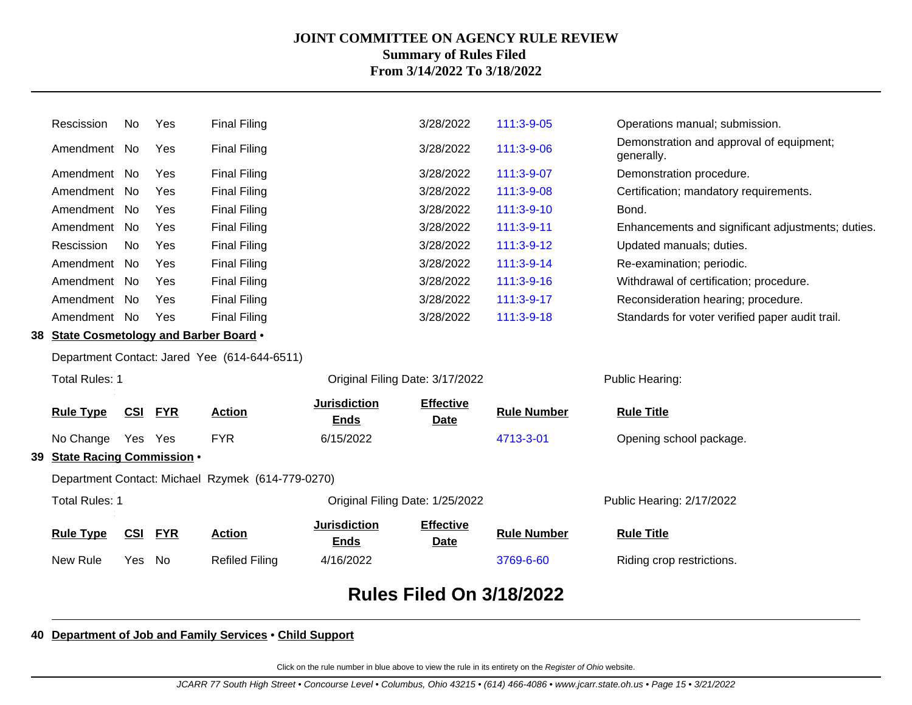|                                                   |                                         |            |            |                                            |                                    | <b>Rules Filed On 3/18/2022</b> |                          |                                                        |
|---------------------------------------------------|-----------------------------------------|------------|------------|--------------------------------------------|------------------------------------|---------------------------------|--------------------------|--------------------------------------------------------|
|                                                   | New Rule                                | Yes        | No         | <b>Refiled Filing</b>                      | 4/16/2022                          |                                 | 3769-6-60                | Riding crop restrictions.                              |
|                                                   | <b>Rule Type</b>                        | <b>CSI</b> | <b>FYR</b> | <b>Action</b>                              | <b>Jurisdiction</b><br><b>Ends</b> | <b>Effective</b><br><u>Date</u> | <b>Rule Number</b>       | <b>Rule Title</b>                                      |
|                                                   | <b>Total Rules: 1</b>                   |            |            |                                            | Original Filing Date: 1/25/2022    |                                 |                          | Public Hearing: 2/17/2022                              |
| Department Contact: Michael Rzymek (614-779-0270) |                                         |            |            |                                            |                                    |                                 |                          |                                                        |
| 39                                                | <b>State Racing Commission .</b>        |            |            |                                            |                                    |                                 |                          |                                                        |
|                                                   | No Change                               | Yes Yes    |            | <b>FYR</b>                                 | 6/15/2022                          |                                 | 4713-3-01                | Opening school package.                                |
|                                                   | <b>Rule Type</b>                        | <b>CSI</b> | <b>FYR</b> | <b>Action</b>                              | <b>Jurisdiction</b><br><b>Ends</b> | <b>Effective</b><br><b>Date</b> | <b>Rule Number</b>       | <b>Rule Title</b>                                      |
|                                                   | <b>Total Rules: 1</b>                   |            |            |                                            | Original Filing Date: 3/17/2022    | Public Hearing:                 |                          |                                                        |
| Department Contact: Jared Yee (614-644-6511)      |                                         |            |            |                                            |                                    |                                 |                          |                                                        |
|                                                   | 38 State Cosmetology and Barber Board . |            |            |                                            |                                    |                                 |                          |                                                        |
|                                                   | Amendment No                            |            | Yes        | <b>Final Filing</b>                        |                                    | 3/28/2022                       | 111:3-9-18               | Standards for voter verified paper audit trail.        |
|                                                   | Amendment No                            |            | Yes        | <b>Final Filing</b>                        |                                    | 3/28/2022                       | 111:3-9-17               | Reconsideration hearing; procedure.                    |
|                                                   | Amendment No                            |            | Yes        | <b>Final Filing</b>                        |                                    | 3/28/2022                       | 111:3-9-16               | Withdrawal of certification; procedure.                |
|                                                   | Amendment No                            |            | Yes        | <b>Final Filing</b>                        |                                    | 3/28/2022                       | 111:3-9-14               | Re-examination; periodic.                              |
|                                                   | Rescission                              | No         | Yes        | <b>Final Filing</b>                        |                                    | 3/28/2022                       | 111:3-9-12               | Updated manuals; duties.                               |
|                                                   | Amendment No                            |            | Yes        | <b>Final Filing</b>                        |                                    | 3/28/2022                       | $111:3-9-11$             | Enhancements and significant adjustments; duties.      |
|                                                   | Amendment No<br>Amendment No            |            | Yes<br>Yes | <b>Final Filing</b><br><b>Final Filing</b> |                                    | 3/28/2022<br>3/28/2022          | 111:3-9-08<br>111:3-9-10 | Certification; mandatory requirements.<br>Bond.        |
|                                                   | Amendment No                            |            | Yes        | <b>Final Filing</b>                        |                                    | 3/28/2022                       | 111:3-9-07               | Demonstration procedure.                               |
|                                                   | Amendment No                            |            | Yes        | <b>Final Filing</b>                        |                                    | 3/28/2022                       | 111:3-9-06               | Demonstration and approval of equipment;<br>generally. |
|                                                   | Rescission                              | No         | Yes        | <b>Final Filing</b>                        |                                    | 3/28/2022                       | 111:3-9-05               | Operations manual; submission.                         |
|                                                   |                                         |            |            |                                            |                                    |                                 |                          |                                                        |

### **40 Department of Job and Family Services** • **Child Support**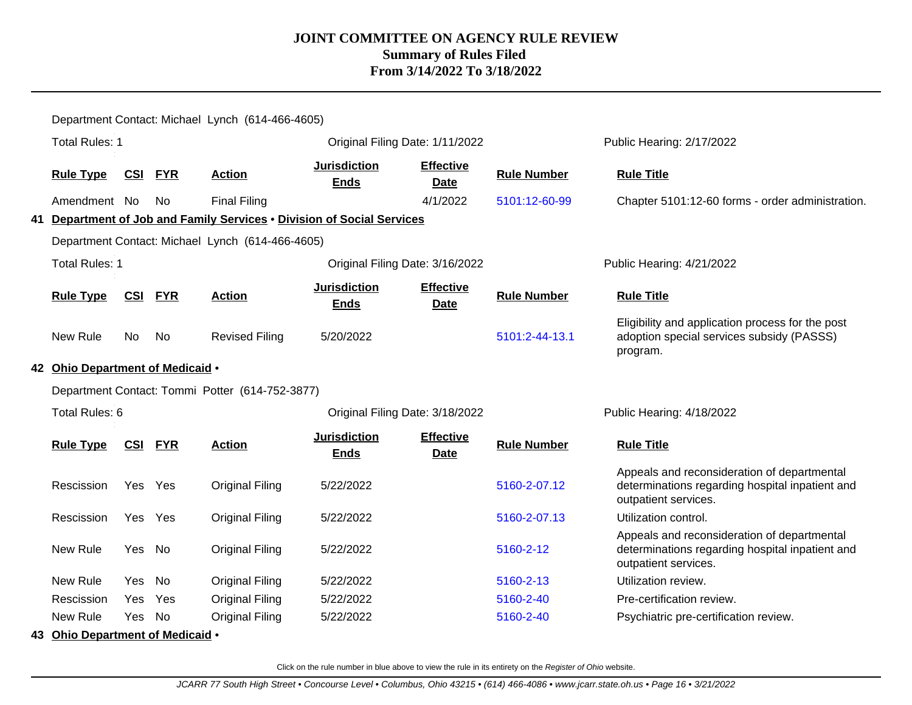|                                                 | Department Contact: Michael Lynch (614-466-4605) |            |            |                                                  |                                                                        |                                 |                    |                                                                                                                        |  |  |
|-------------------------------------------------|--------------------------------------------------|------------|------------|--------------------------------------------------|------------------------------------------------------------------------|---------------------------------|--------------------|------------------------------------------------------------------------------------------------------------------------|--|--|
|                                                 | <b>Total Rules: 1</b>                            |            |            |                                                  |                                                                        | Original Filing Date: 1/11/2022 |                    | Public Hearing: 2/17/2022                                                                                              |  |  |
|                                                 | <b>Rule Type</b>                                 | <u>CSI</u> | <b>FYR</b> | <b>Action</b>                                    | <b>Jurisdiction</b><br><b>Ends</b>                                     | <b>Effective</b><br><b>Date</b> | <b>Rule Number</b> | <b>Rule Title</b>                                                                                                      |  |  |
|                                                 | Amendment No                                     |            | No.        | <b>Final Filing</b>                              |                                                                        | 4/1/2022                        | 5101:12-60-99      | Chapter 5101:12-60 forms - order administration.                                                                       |  |  |
|                                                 |                                                  |            |            |                                                  | 41 Department of Job and Family Services . Division of Social Services |                                 |                    |                                                                                                                        |  |  |
|                                                 |                                                  |            |            | Department Contact: Michael Lynch (614-466-4605) |                                                                        |                                 |                    |                                                                                                                        |  |  |
|                                                 | <b>Total Rules: 1</b>                            |            |            |                                                  |                                                                        | Original Filing Date: 3/16/2022 |                    | Public Hearing: 4/21/2022                                                                                              |  |  |
|                                                 | <b>Rule Type</b>                                 | CSI        | <b>FYR</b> | <b>Action</b>                                    | <b>Jurisdiction</b><br><b>Ends</b>                                     | <b>Effective</b><br><b>Date</b> | <b>Rule Number</b> | <b>Rule Title</b>                                                                                                      |  |  |
|                                                 | New Rule                                         | No.        | No         | <b>Revised Filing</b>                            | 5/20/2022                                                              |                                 | 5101:2-44-13.1     | Eligibility and application process for the post<br>adoption special services subsidy (PASSS)<br>program.              |  |  |
|                                                 | 42 Ohio Department of Medicaid .                 |            |            |                                                  |                                                                        |                                 |                    |                                                                                                                        |  |  |
| Department Contact: Tommi Potter (614-752-3877) |                                                  |            |            |                                                  |                                                                        |                                 |                    |                                                                                                                        |  |  |
|                                                 | Total Rules: 6                                   |            |            |                                                  |                                                                        | Original Filing Date: 3/18/2022 |                    | Public Hearing: 4/18/2022                                                                                              |  |  |
|                                                 | <b>Rule Type</b>                                 | <b>CSI</b> | <b>FYR</b> | <b>Action</b>                                    | <b>Jurisdiction</b><br><b>Ends</b>                                     | <b>Effective</b><br><b>Date</b> | <b>Rule Number</b> | <b>Rule Title</b>                                                                                                      |  |  |
|                                                 | Rescission                                       | Yes Yes    |            | <b>Original Filing</b>                           | 5/22/2022                                                              |                                 | 5160-2-07.12       | Appeals and reconsideration of departmental<br>determinations regarding hospital inpatient and<br>outpatient services. |  |  |
|                                                 | Rescission                                       | Yes        | Yes        | <b>Original Filing</b>                           | 5/22/2022                                                              |                                 | 5160-2-07.13       | Utilization control.                                                                                                   |  |  |
|                                                 | New Rule                                         | Yes        | No         | <b>Original Filing</b>                           | 5/22/2022                                                              |                                 | 5160-2-12          | Appeals and reconsideration of departmental<br>determinations regarding hospital inpatient and<br>outpatient services. |  |  |
|                                                 | New Rule                                         | Yes        | No         | <b>Original Filing</b>                           | 5/22/2022                                                              |                                 | 5160-2-13          | Utilization review.                                                                                                    |  |  |
|                                                 | Rescission                                       | Yes.       | Yes        | <b>Original Filing</b>                           | 5/22/2022                                                              |                                 | 5160-2-40          | Pre-certification review.                                                                                              |  |  |
|                                                 | New Rule                                         | Yes.       | <b>No</b>  | <b>Original Filing</b>                           | 5/22/2022                                                              |                                 | 5160-2-40          | Psychiatric pre-certification review.                                                                                  |  |  |
|                                                 | 43 Ohio Department of Medicaid .                 |            |            |                                                  |                                                                        |                                 |                    |                                                                                                                        |  |  |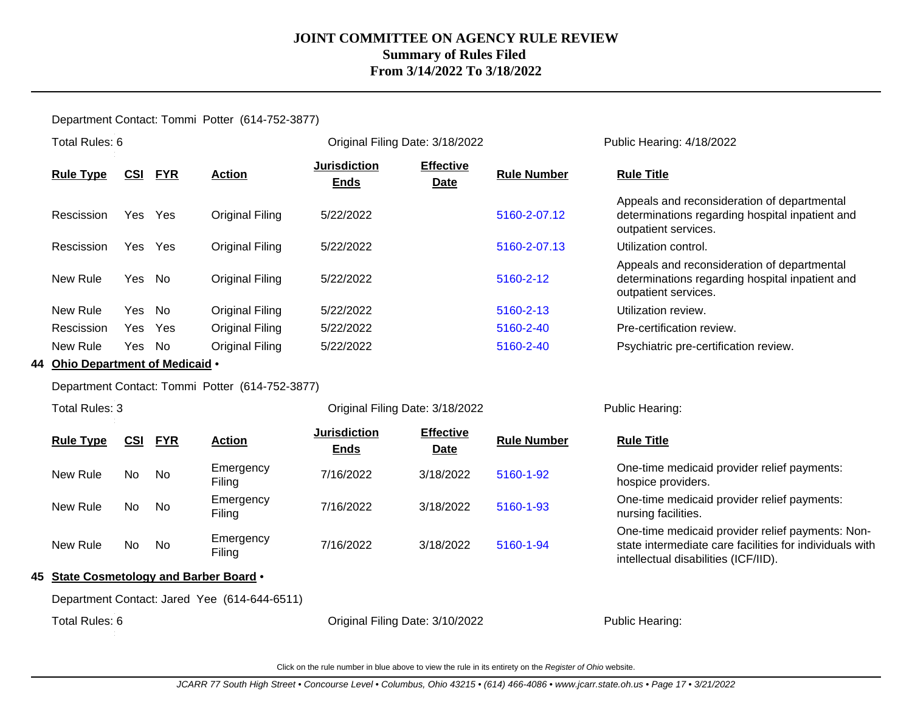Department Contact: Tommi Potter (614-752-3877)

|                             |                                    |                                 |                                 | Public Hearing: 4/18/2022                                                                                              |
|-----------------------------|------------------------------------|---------------------------------|---------------------------------|------------------------------------------------------------------------------------------------------------------------|
| <b>FYR</b><br><b>Action</b> | <b>Jurisdiction</b><br><b>Ends</b> | <b>Effective</b><br><b>Date</b> | <b>Rule Number</b>              | <b>Rule Title</b>                                                                                                      |
| Yes<br>Original Filing      | 5/22/2022                          |                                 | 5160-2-07.12                    | Appeals and reconsideration of departmental<br>determinations regarding hospital inpatient and<br>outpatient services. |
| Yes<br>Original Filing      | 5/22/2022                          |                                 | 5160-2-07.13                    | Utilization control.                                                                                                   |
| Original Filing<br>Yes No   | 5/22/2022                          |                                 | 5160-2-12                       | Appeals and reconsideration of departmental<br>determinations regarding hospital inpatient and<br>outpatient services. |
| Yes No<br>Original Filing   | 5/22/2022                          |                                 | 5160-2-13                       | Utilization review.                                                                                                    |
| Original Filing<br>Yes      | 5/22/2022                          |                                 | 5160-2-40                       | Pre-certification review.                                                                                              |
| No.<br>Original Filing      | 5/22/2022                          |                                 | 5160-2-40                       | Psychiatric pre-certification review.                                                                                  |
|                             |                                    |                                 | Original Filing Date: 3/18/2022 |                                                                                                                        |

**44 Ohio Department of Medicaid** •

Department Contact: Tommi Potter (614-752-3877)

Total Rules: 3

Original Filing Date: 3/18/2022 Public Hearing:

| <b>Rule Type</b> | <u>CSI</u> | <u>FYR</u> | <b>Action</b>       | <b>Jurisdiction</b><br><b>Ends</b> | <b>Effective</b><br><b>Date</b> | <b>Rule Number</b> | <b>Rule Title</b>                                                                                                                                   |
|------------------|------------|------------|---------------------|------------------------------------|---------------------------------|--------------------|-----------------------------------------------------------------------------------------------------------------------------------------------------|
| New Rule         | No.        | No.        | Emergency<br>Filing | 7/16/2022                          | 3/18/2022                       | 5160-1-92          | One-time medicaid provider relief payments:<br>hospice providers.                                                                                   |
| New Rule         | No.        | No.        | Emergency<br>Filing | 7/16/2022                          | 3/18/2022                       | 5160-1-93          | One-time medicaid provider relief payments:<br>nursing facilities.                                                                                  |
| New Rule         | No         | No.        | Emergency<br>Filing | 7/16/2022                          | 3/18/2022                       | 5160-1-94          | One-time medicaid provider relief payments: Non-<br>state intermediate care facilities for individuals with<br>intellectual disabilities (ICF/IID). |

#### **45 State Cosmetology and Barber Board** •

Department Contact: Jared Yee (614-644-6511)

Total Rules: 6 **Driginal Filing Date: 3/10/2022** Public Hearing: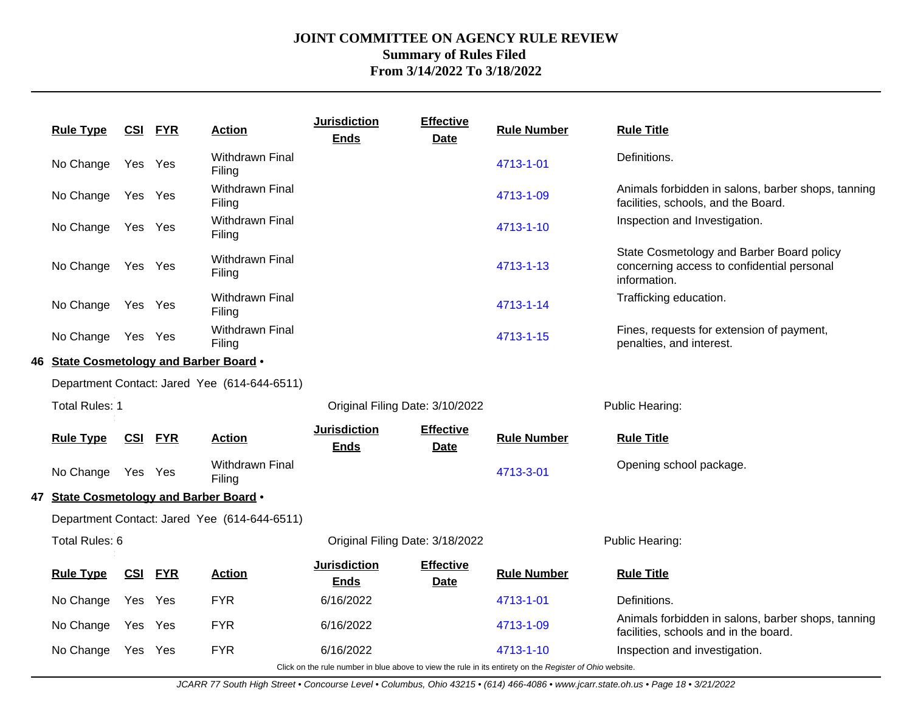|                                              | <b>Rule Type</b>                        | <b>CSI FYR</b> |                                 | <b>Action</b>                                | <b>Jurisdiction</b><br><b>Ends</b> | <b>Effective</b><br><b>Date</b>                                                                                                                                                                                                  | <b>Rule Number</b> | <b>Rule Title</b>                                                                                       |  |  |
|----------------------------------------------|-----------------------------------------|----------------|---------------------------------|----------------------------------------------|------------------------------------|----------------------------------------------------------------------------------------------------------------------------------------------------------------------------------------------------------------------------------|--------------------|---------------------------------------------------------------------------------------------------------|--|--|
|                                              | No Change                               | Yes Yes        |                                 | Withdrawn Final<br>Filing                    |                                    |                                                                                                                                                                                                                                  | 4713-1-01          | Definitions.                                                                                            |  |  |
|                                              | No Change                               | Yes Yes        |                                 | <b>Withdrawn Final</b><br>Filing             |                                    |                                                                                                                                                                                                                                  | 4713-1-09          | Animals forbidden in salons, barber shops, tanning<br>facilities, schools, and the Board.               |  |  |
|                                              | No Change                               | Yes Yes        |                                 | Withdrawn Final<br>Filing                    |                                    |                                                                                                                                                                                                                                  | 4713-1-10          | Inspection and Investigation.                                                                           |  |  |
|                                              | No Change                               | Yes Yes        |                                 | <b>Withdrawn Final</b><br>Filing             |                                    |                                                                                                                                                                                                                                  | 4713-1-13          | State Cosmetology and Barber Board policy<br>concerning access to confidential personal<br>information. |  |  |
|                                              | No Change                               | Yes Yes        |                                 | Withdrawn Final<br>Filing                    |                                    |                                                                                                                                                                                                                                  | 4713-1-14          | Trafficking education.                                                                                  |  |  |
|                                              | No Change                               | Yes Yes        |                                 | Withdrawn Final<br>Filing                    |                                    |                                                                                                                                                                                                                                  | 4713-1-15          | Fines, requests for extension of payment,<br>penalties, and interest.                                   |  |  |
|                                              | 46 State Cosmetology and Barber Board . |                |                                 |                                              |                                    |                                                                                                                                                                                                                                  |                    |                                                                                                         |  |  |
| Department Contact: Jared Yee (614-644-6511) |                                         |                |                                 |                                              |                                    |                                                                                                                                                                                                                                  |                    |                                                                                                         |  |  |
|                                              | Total Rules: 1                          |                |                                 |                                              | Original Filing Date: 3/10/2022    |                                                                                                                                                                                                                                  |                    | Public Hearing:                                                                                         |  |  |
|                                              | <b>Rule Type</b>                        | <u>CSI</u>     | <b>FYR</b>                      | <b>Action</b>                                | <b>Jurisdiction</b><br><b>Ends</b> | <b>Effective</b><br><b>Date</b>                                                                                                                                                                                                  | <b>Rule Number</b> | <b>Rule Title</b>                                                                                       |  |  |
|                                              | No Change Yes Yes                       |                |                                 | <b>Withdrawn Final</b><br>Filing             |                                    |                                                                                                                                                                                                                                  | 4713-3-01          | Opening school package.                                                                                 |  |  |
|                                              | 47 State Cosmetology and Barber Board . |                |                                 |                                              |                                    |                                                                                                                                                                                                                                  |                    |                                                                                                         |  |  |
|                                              |                                         |                |                                 | Department Contact: Jared Yee (614-644-6511) |                                    |                                                                                                                                                                                                                                  |                    |                                                                                                         |  |  |
|                                              | Total Rules: 6                          |                | Original Filing Date: 3/18/2022 |                                              |                                    | Public Hearing:                                                                                                                                                                                                                  |                    |                                                                                                         |  |  |
|                                              | <b>Rule Type</b>                        | <u>CSI</u>     | <b>FYR</b>                      | <b>Action</b>                                | <b>Jurisdiction</b><br><b>Ends</b> | <b>Effective</b><br><b>Date</b>                                                                                                                                                                                                  | <b>Rule Number</b> | <b>Rule Title</b>                                                                                       |  |  |
|                                              | No Change                               | Yes Yes        |                                 | <b>FYR</b>                                   | 6/16/2022                          |                                                                                                                                                                                                                                  | 4713-1-01          | Definitions.                                                                                            |  |  |
|                                              | No Change                               | Yes Yes        |                                 | <b>FYR</b>                                   | 6/16/2022                          |                                                                                                                                                                                                                                  | 4713-1-09          | Animals forbidden in salons, barber shops, tanning<br>facilities, schools and in the board.             |  |  |
|                                              | No Change                               | Yes Yes        |                                 | <b>FYR</b>                                   | 6/16/2022                          | $\mathbf{r}$ , and the set of the set of the set of the set of the set of the set of the set of the set of the set of the set of the set of the set of the set of the set of the set of the set of the set of the set of the set | 4713-1-10          | Inspection and investigation.                                                                           |  |  |

Click on the rule number in blue above to view the rule in its entirety on the Register of Ohio website.

JCARR 77 South High Street • Concourse Level • Columbus, Ohio 43215 • (614) 466-4086 • www.jcarr.state.oh.us • Page 18 • 3/21/2022